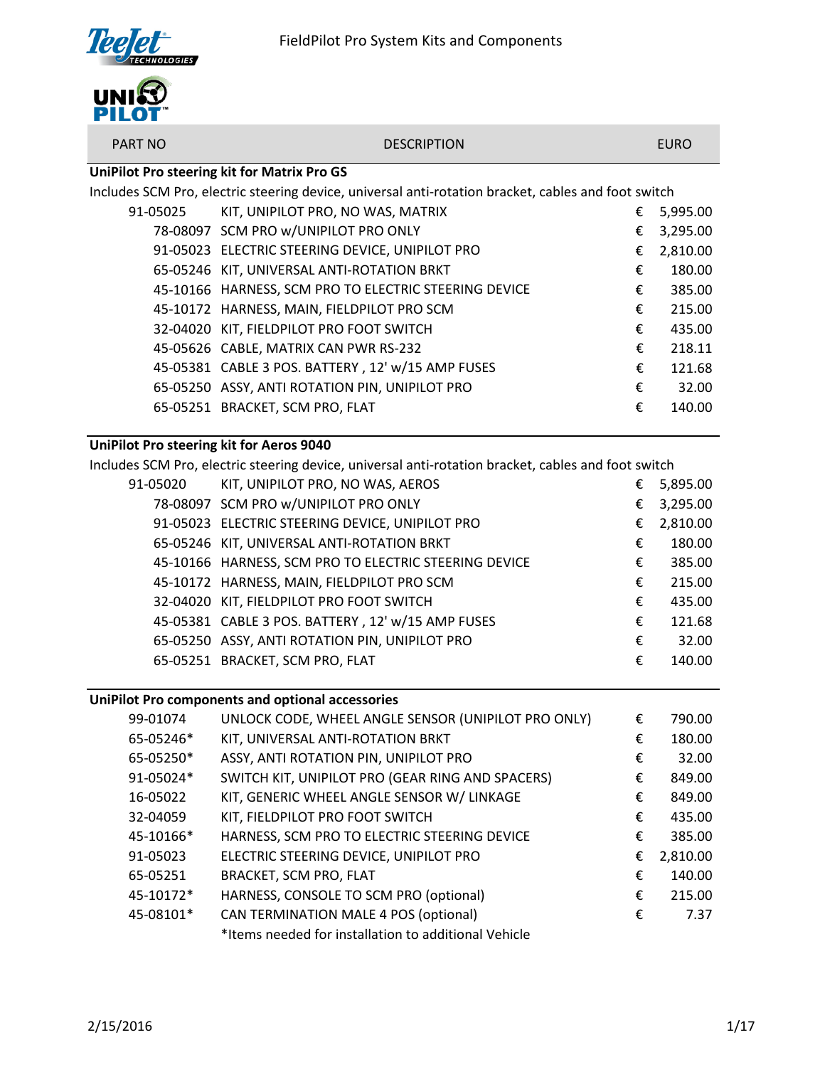

| .                                        |                                                                                                                                                                                                                                  |   |             |
|------------------------------------------|----------------------------------------------------------------------------------------------------------------------------------------------------------------------------------------------------------------------------------|---|-------------|
| <b>PART NO</b>                           | <b>DESCRIPTION</b>                                                                                                                                                                                                               |   | <b>EURO</b> |
|                                          | UniPilot Pro steering kit for Matrix Pro GS                                                                                                                                                                                      |   |             |
|                                          | Includes SCM Pro, electric steering device, universal anti-rotation bracket, cables and foot switch                                                                                                                              |   |             |
| 91-05025                                 | KIT, UNIPILOT PRO, NO WAS, MATRIX                                                                                                                                                                                                | € | 5,995.00    |
|                                          | 78-08097 SCM PRO w/UNIPILOT PRO ONLY                                                                                                                                                                                             | € | 3,295.00    |
|                                          | 91-05023 ELECTRIC STEERING DEVICE, UNIPILOT PRO                                                                                                                                                                                  | € | 2,810.00    |
|                                          | 65-05246 KIT, UNIVERSAL ANTI-ROTATION BRKT                                                                                                                                                                                       | € | 180.00      |
|                                          | 45-10166 HARNESS, SCM PRO TO ELECTRIC STEERING DEVICE                                                                                                                                                                            | € | 385.00      |
|                                          | 45-10172 HARNESS, MAIN, FIELDPILOT PRO SCM                                                                                                                                                                                       | € | 215.00      |
|                                          | 32-04020 KIT, FIELDPILOT PRO FOOT SWITCH                                                                                                                                                                                         | € | 435.00      |
|                                          | 45-05626 CABLE, MATRIX CAN PWR RS-232                                                                                                                                                                                            | € | 218.11      |
|                                          | 45-05381 CABLE 3 POS. BATTERY, 12' w/15 AMP FUSES                                                                                                                                                                                | € | 121.68      |
|                                          | 65-05250 ASSY, ANTI ROTATION PIN, UNIPILOT PRO                                                                                                                                                                                   | € | 32.00       |
|                                          | 65-05251 BRACKET, SCM PRO, FLAT                                                                                                                                                                                                  | € | 140.00      |
|                                          |                                                                                                                                                                                                                                  |   |             |
| UniPilot Pro steering kit for Aeros 9040 |                                                                                                                                                                                                                                  |   |             |
|                                          | $\mathbf{r}$ , and the set of the set of the set of the set of the set of the set of the set of the set of the set of the set of the set of the set of the set of the set of the set of the set of the set of the set of the set |   |             |

Includes SCM Pro, electric steering device, universal anti-rotation bracket, cables and foot switch

| 91-05020 | KIT, UNIPILOT PRO, NO WAS, AEROS                      | € | 5,895.00 |
|----------|-------------------------------------------------------|---|----------|
|          | 78-08097 SCM PRO w/UNIPILOT PRO ONLY                  | € | 3,295.00 |
|          | 91-05023 ELECTRIC STEERING DEVICE, UNIPILOT PRO       | € | 2,810.00 |
|          | 65-05246 KIT, UNIVERSAL ANTI-ROTATION BRKT            | € | 180.00   |
|          | 45-10166 HARNESS, SCM PRO TO ELECTRIC STEERING DEVICE | € | 385.00   |
|          | 45-10172 HARNESS, MAIN, FIELDPILOT PRO SCM            | € | 215.00   |
|          | 32-04020 KIT, FIELDPILOT PRO FOOT SWITCH              | € | 435.00   |
|          | 45-05381 CABLE 3 POS. BATTERY, 12' w/15 AMP FUSES     | € | 121.68   |
|          | 65-05250 ASSY, ANTI ROTATION PIN, UNIPILOT PRO        | € | 32.00    |
|          | 65-05251 BRACKET, SCM PRO, FLAT                       | € | 140.00   |
|          |                                                       |   |          |

## **UniPilot Pro components and optional accessories**

| 99-01074  | UNLOCK CODE, WHEEL ANGLE SENSOR (UNIPILOT PRO ONLY)  | € | 790.00   |
|-----------|------------------------------------------------------|---|----------|
| 65-05246* | KIT, UNIVERSAL ANTI-ROTATION BRKT                    | € | 180.00   |
| 65-05250* | ASSY, ANTI ROTATION PIN, UNIPILOT PRO                | € | 32.00    |
| 91-05024* | SWITCH KIT, UNIPILOT PRO (GEAR RING AND SPACERS)     | € | 849.00   |
| 16-05022  | KIT, GENERIC WHEEL ANGLE SENSOR W/ LINKAGE           | € | 849.00   |
| 32-04059  | KIT, FIELDPILOT PRO FOOT SWITCH                      | € | 435.00   |
| 45-10166* | HARNESS, SCM PRO TO ELECTRIC STEERING DEVICE         | € | 385.00   |
| 91-05023  | ELECTRIC STEERING DEVICE, UNIPILOT PRO               | € | 2,810.00 |
| 65-05251  | BRACKET, SCM PRO, FLAT                               | € | 140.00   |
| 45-10172* | HARNESS, CONSOLE TO SCM PRO (optional)               | € | 215.00   |
| 45-08101* | CAN TERMINATION MALE 4 POS (optional)                | € | 7.37     |
|           | *Items needed for installation to additional Vehicle |   |          |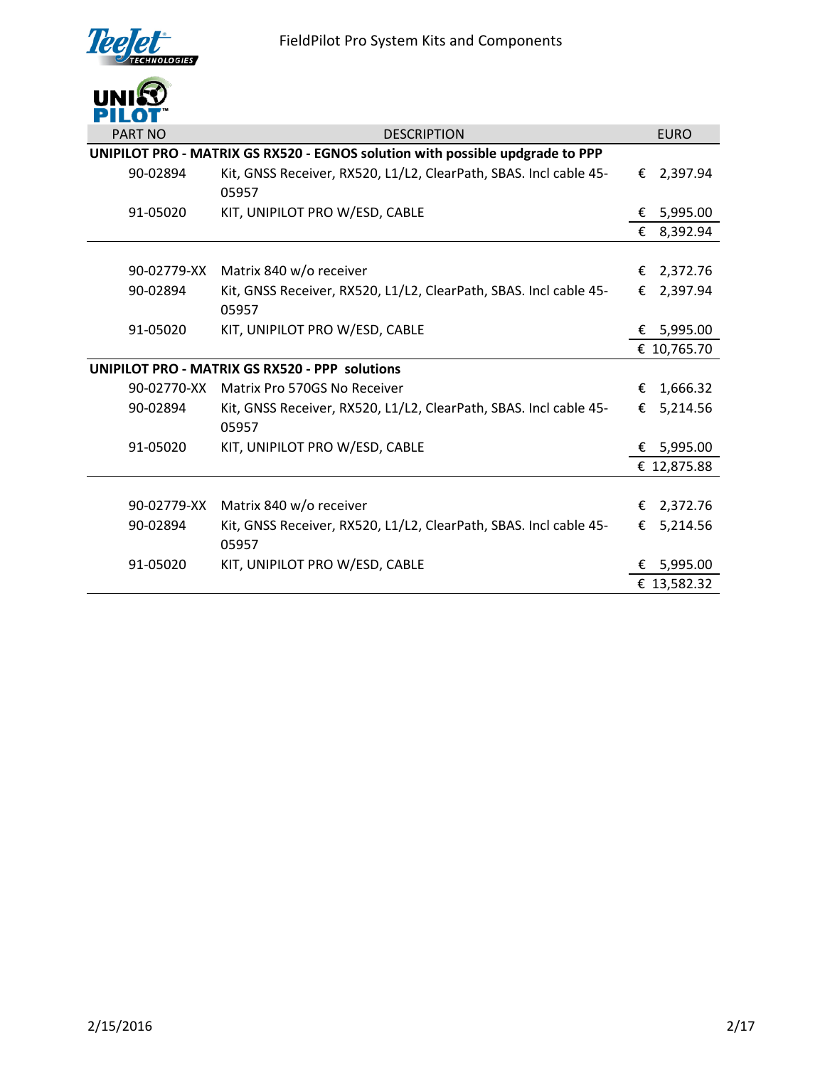

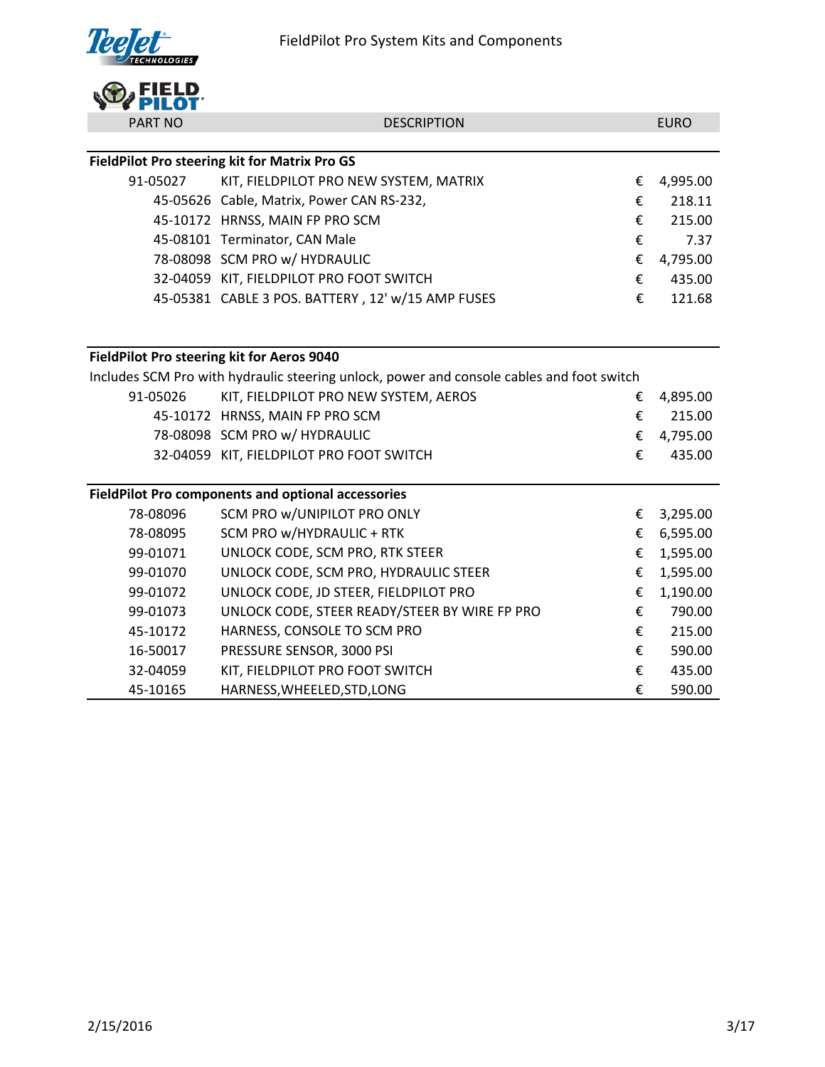FieldPilot Pro System Kits and Components



| <b>PART NO</b>                             | <b>DESCRIPTION</b>                                                                        |   | <b>EURO</b> |
|--------------------------------------------|-------------------------------------------------------------------------------------------|---|-------------|
|                                            |                                                                                           |   |             |
|                                            | FieldPilot Pro steering kit for Matrix Pro GS                                             |   |             |
| 91-05027                                   | KIT, FIELDPILOT PRO NEW SYSTEM, MATRIX                                                    | € | 4,995.00    |
|                                            | 45-05626 Cable, Matrix, Power CAN RS-232,                                                 | € | 218.11      |
|                                            | 45-10172 HRNSS, MAIN FP PRO SCM                                                           | € | 215.00      |
|                                            | 45-08101 Terminator, CAN Male                                                             | € | 7.37        |
|                                            | 78-08098 SCM PRO w/ HYDRAULIC                                                             | € | 4,795.00    |
|                                            | 32-04059 KIT, FIELDPILOT PRO FOOT SWITCH                                                  | € | 435.00      |
|                                            | 45-05381 CABLE 3 POS. BATTERY, 12' w/15 AMP FUSES                                         | € | 121.68      |
|                                            |                                                                                           |   |             |
|                                            |                                                                                           |   |             |
| FieldPilot Pro steering kit for Aeros 9040 |                                                                                           |   |             |
|                                            | Includes SCM Pro with hydraulic steering unlock, power and console cables and foot switch |   |             |
| 91-05026                                   | KIT, FIELDPILOT PRO NEW SYSTEM, AEROS                                                     | € | 4,895.00    |
|                                            | 45-10172 HRNSS, MAIN FP PRO SCM                                                           | € | 215.00      |
|                                            | 78-08098 SCM PRO w/ HYDRAULIC                                                             | € | 4,795.00    |
|                                            | 32-04059 KIT, FIELDPILOT PRO FOOT SWITCH                                                  | € | 435.00      |
|                                            |                                                                                           |   |             |
|                                            | <b>FieldPilot Pro components and optional accessories</b>                                 |   |             |
| 78-08096                                   | SCM PRO w/UNIPILOT PRO ONLY                                                               | € | 3,295.00    |
| 78-08095                                   | SCM PRO w/HYDRAULIC + RTK                                                                 | € | 6,595.00    |
| 99-01071                                   | UNLOCK CODE, SCM PRO, RTK STEER                                                           | € | 1,595.00    |
| 99-01070                                   | UNLOCK CODE, SCM PRO, HYDRAULIC STEER                                                     | € | 1,595.00    |
| 99-01072                                   | UNLOCK CODE, JD STEER, FIELDPILOT PRO                                                     | € | 1,190.00    |
| 99-01073                                   | UNLOCK CODE, STEER READY/STEER BY WIRE FP PRO                                             | € | 790.00      |
| 45-10172                                   | HARNESS, CONSOLE TO SCM PRO                                                               | € | 215.00      |
| 16-50017                                   | PRESSURE SENSOR, 3000 PSI                                                                 | € | 590.00      |
| 32-04059                                   | KIT, FIELDPILOT PRO FOOT SWITCH                                                           | € | 435.00      |
| 45-10165                                   | HARNESS, WHEELED, STD, LONG                                                               | € | 590.00      |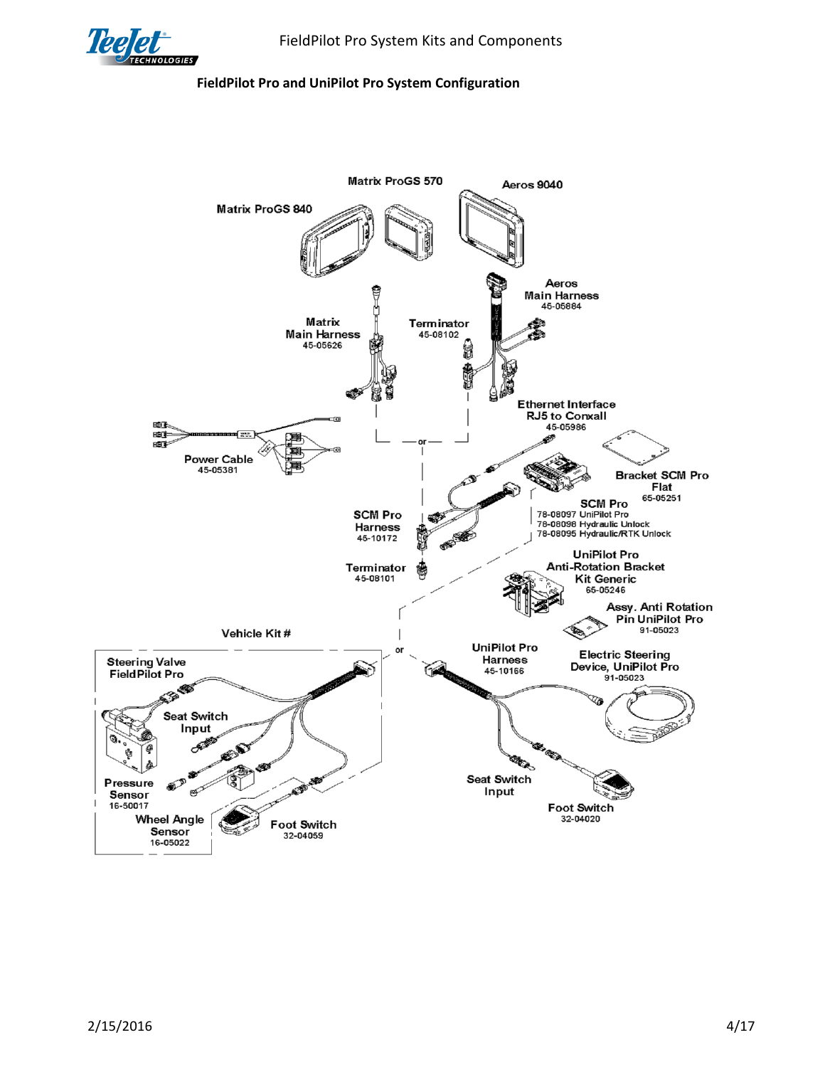

## **FieldPilot Pro and UniPilot Pro System Configuration**

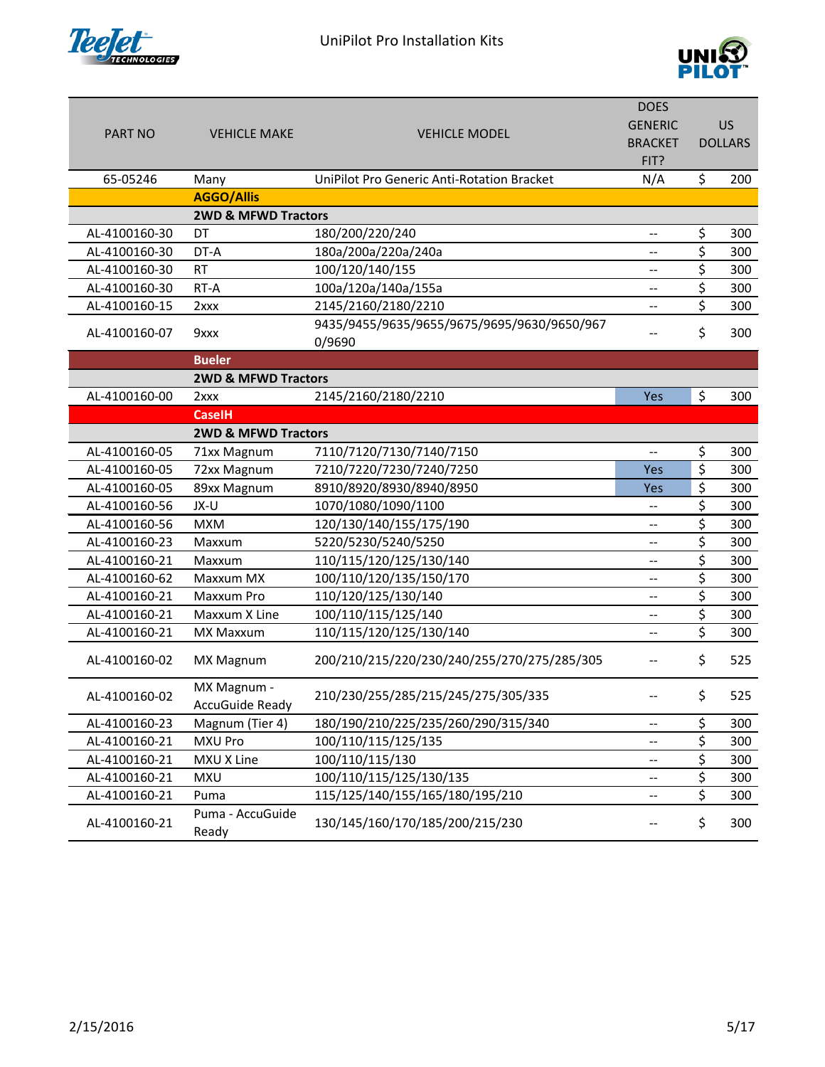

## UniPilot Pro Installation Kits



|                |                                |                                                   | <b>DOES</b>                                         |    |                |
|----------------|--------------------------------|---------------------------------------------------|-----------------------------------------------------|----|----------------|
|                |                                |                                                   | <b>GENERIC</b>                                      |    | <b>US</b>      |
| <b>PART NO</b> | <b>VEHICLE MAKE</b>            | <b>VEHICLE MODEL</b>                              | <b>BRACKET</b>                                      |    | <b>DOLLARS</b> |
|                |                                |                                                   | FIT?                                                |    |                |
| 65-05246       | Many                           | <b>UniPilot Pro Generic Anti-Rotation Bracket</b> | N/A                                                 | \$ | 200            |
|                | <b>AGGO/Allis</b>              |                                                   |                                                     |    |                |
|                | <b>2WD &amp; MFWD Tractors</b> |                                                   |                                                     |    |                |
| AL-4100160-30  | DT                             | 180/200/220/240                                   | $-$                                                 | \$ | 300            |
| AL-4100160-30  | DT-A                           | 180a/200a/220a/240a                               | --                                                  | \$ | 300            |
| AL-4100160-30  | <b>RT</b>                      | 100/120/140/155                                   | $\overline{\phantom{a}}$                            | \$ | 300            |
| AL-4100160-30  | RT-A                           | 100a/120a/140a/155a                               | $\overline{\phantom{a}}$                            | \$ | 300            |
| AL-4100160-15  | $2$ $xx$                       | 2145/2160/2180/2210                               | $\overline{\phantom{a}}$                            | \$ | 300            |
| AL-4100160-07  |                                | 9435/9455/9635/9655/9675/9695/9630/9650/967       |                                                     | \$ | 300            |
|                | 9xxx                           | 0/9690                                            |                                                     |    |                |
|                | <b>Bueler</b>                  |                                                   |                                                     |    |                |
|                | <b>2WD &amp; MFWD Tractors</b> |                                                   |                                                     |    |                |
| AL-4100160-00  | $2$ $xx$                       | 2145/2160/2180/2210                               | Yes                                                 | \$ | 300            |
|                | <b>CaselH</b>                  |                                                   |                                                     |    |                |
|                | <b>2WD &amp; MFWD Tractors</b> |                                                   |                                                     |    |                |
| AL-4100160-05  | 71xx Magnum                    | 7110/7120/7130/7140/7150                          | --                                                  | \$ | 300            |
| AL-4100160-05  | 72xx Magnum                    | 7210/7220/7230/7240/7250                          | Yes                                                 | \$ | 300            |
| AL-4100160-05  | 89xx Magnum                    | 8910/8920/8930/8940/8950                          | Yes                                                 | \$ | 300            |
| AL-4100160-56  | JX-U                           | 1070/1080/1090/1100                               | --                                                  | \$ | 300            |
| AL-4100160-56  | <b>MXM</b>                     | 120/130/140/155/175/190                           | $-$                                                 | \$ | 300            |
| AL-4100160-23  | Maxxum                         | 5220/5230/5240/5250                               | $\overline{\phantom{a}}$                            | \$ | 300            |
| AL-4100160-21  | Maxxum                         | 110/115/120/125/130/140                           | $-$                                                 | \$ | 300            |
| AL-4100160-62  | Maxxum MX                      | 100/110/120/135/150/170                           | $\overline{\phantom{a}}$                            | \$ | 300            |
| AL-4100160-21  | Maxxum Pro                     | 110/120/125/130/140                               | $\overline{\phantom{a}}$                            | \$ | 300            |
| AL-4100160-21  | Maxxum X Line                  | 100/110/115/125/140                               | $\hspace{0.05cm} -\hspace{0.05cm} -\hspace{0.05cm}$ | \$ | 300            |
| AL-4100160-21  | MX Maxxum                      | 110/115/120/125/130/140                           | --                                                  | \$ | 300            |
| AL-4100160-02  | <b>MX Magnum</b>               | 200/210/215/220/230/240/255/270/275/285/305       |                                                     | Ś  | 525            |
| AL-4100160-02  | MX Magnum -                    | 210/230/255/285/215/245/275/305/335               |                                                     | \$ | 525            |
|                | <b>AccuGuide Ready</b>         |                                                   |                                                     |    |                |
| AL-4100160-23  | Magnum (Tier 4)                | 180/190/210/225/235/260/290/315/340               | --                                                  | \$ | 300            |
| AL-4100160-21  | <b>MXU Pro</b>                 | 100/110/115/125/135                               | --                                                  | \$ | 300            |
| AL-4100160-21  | MXU X Line                     | 100/110/115/130                                   | --                                                  | \$ | 300            |
| AL-4100160-21  | <b>MXU</b>                     | 100/110/115/125/130/135                           | --                                                  | \$ | 300            |
| AL-4100160-21  | Puma                           | 115/125/140/155/165/180/195/210                   | --                                                  | \$ | 300            |
| AL-4100160-21  | Puma - AccuGuide<br>Ready      | 130/145/160/170/185/200/215/230                   |                                                     | \$ | 300            |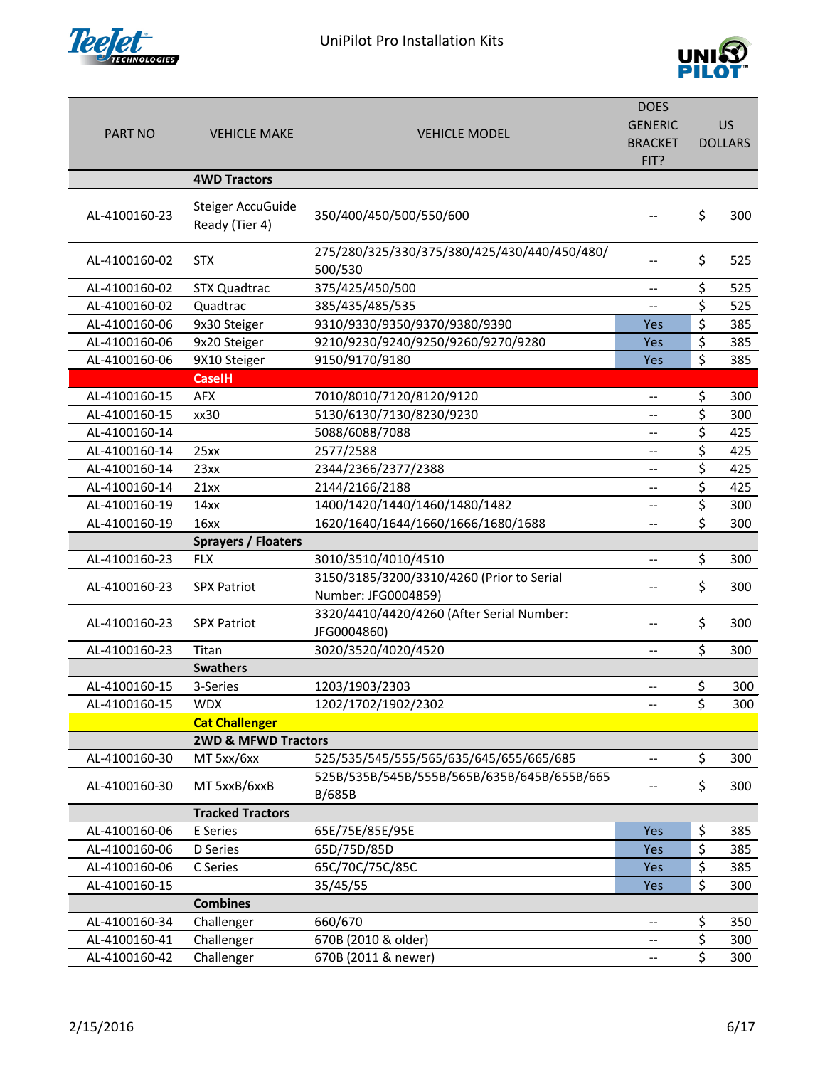



|                |                                |                                              | <b>DOES</b>                                         |                |
|----------------|--------------------------------|----------------------------------------------|-----------------------------------------------------|----------------|
| <b>PART NO</b> | <b>VEHICLE MAKE</b>            | <b>VEHICLE MODEL</b>                         | <b>GENERIC</b>                                      | <b>US</b>      |
|                |                                |                                              | <b>BRACKET</b>                                      | <b>DOLLARS</b> |
|                |                                |                                              | FIT?                                                |                |
|                | <b>4WD Tractors</b>            |                                              |                                                     |                |
|                | Steiger AccuGuide              |                                              |                                                     |                |
| AL-4100160-23  | Ready (Tier 4)                 | 350/400/450/500/550/600                      |                                                     | \$<br>300      |
|                |                                |                                              |                                                     |                |
| AL-4100160-02  | <b>STX</b>                     | 275/280/325/330/375/380/425/430/440/450/480/ |                                                     | \$<br>525      |
|                |                                | 500/530                                      |                                                     |                |
| AL-4100160-02  | <b>STX Quadtrac</b>            | 375/425/450/500                              | $\hspace{0.05cm} -\hspace{0.05cm} -\hspace{0.05cm}$ | \$<br>525      |
| AL-4100160-02  | Quadtrac                       | 385/435/485/535                              | $\overline{\phantom{0}}$                            | \$<br>525      |
| AL-4100160-06  | 9x30 Steiger                   | 9310/9330/9350/9370/9380/9390                | Yes                                                 | \$<br>385      |
| AL-4100160-06  | 9x20 Steiger                   | 9210/9230/9240/9250/9260/9270/9280           | <b>Yes</b>                                          | \$<br>385      |
| AL-4100160-06  | 9X10 Steiger                   | 9150/9170/9180                               | Yes                                                 | \$<br>385      |
|                | <b>CaseIH</b>                  |                                              |                                                     |                |
| AL-4100160-15  | <b>AFX</b>                     | 7010/8010/7120/8120/9120                     | $\hspace{0.05cm} -\hspace{0.05cm} -\hspace{0.05cm}$ | \$<br>300      |
| AL-4100160-15  | xx30                           | 5130/6130/7130/8230/9230                     | $\overline{\phantom{0}}$                            | \$<br>300      |
| AL-4100160-14  |                                | 5088/6088/7088                               | $-$                                                 | \$<br>425      |
| AL-4100160-14  | 25xx                           | 2577/2588                                    | $-$                                                 | \$<br>425      |
| AL-4100160-14  | 23xx                           | 2344/2366/2377/2388                          | $\overline{\phantom{a}}$                            | \$<br>425      |
| AL-4100160-14  | 21xx                           | 2144/2166/2188                               | $\overline{\phantom{a}}$                            | \$<br>425      |
| AL-4100160-19  | 14xx                           | 1400/1420/1440/1460/1480/1482                | --                                                  | \$<br>300      |
| AL-4100160-19  | 16xx                           | 1620/1640/1644/1660/1666/1680/1688           | $-$                                                 | \$<br>300      |
|                | <b>Sprayers / Floaters</b>     |                                              |                                                     |                |
| AL-4100160-23  | <b>FLX</b>                     | 3010/3510/4010/4510                          | $\overline{\phantom{a}}$                            | \$<br>300      |
|                |                                | 3150/3185/3200/3310/4260 (Prior to Serial    |                                                     |                |
| AL-4100160-23  | <b>SPX Patriot</b>             | Number: JFG0004859)                          |                                                     | \$<br>300      |
|                |                                | 3320/4410/4420/4260 (After Serial Number:    |                                                     |                |
| AL-4100160-23  | <b>SPX Patriot</b>             | JFG0004860)                                  | --                                                  | \$<br>300      |
| AL-4100160-23  | Titan                          | 3020/3520/4020/4520                          | --                                                  | \$<br>300      |
|                | <b>Swathers</b>                |                                              |                                                     |                |
| AL-4100160-15  | 3-Series                       | 1203/1903/2303                               | --                                                  | \$<br>300      |
| AL-4100160-15  | <b>WDX</b>                     | 1202/1702/1902/2302                          |                                                     | \$<br>300      |
|                | <b>Cat Challenger</b>          |                                              |                                                     |                |
|                | <b>2WD &amp; MFWD Tractors</b> |                                              |                                                     |                |
| AL-4100160-30  | MT 5xx/6xx                     | 525/535/545/555/565/635/645/655/665/685      | $\overline{\phantom{a}}$                            | \$<br>300      |
|                |                                | 525B/535B/545B/555B/565B/635B/645B/655B/665  |                                                     |                |
| AL-4100160-30  | MT 5xxB/6xxB                   | <b>B/685B</b>                                |                                                     | \$<br>300      |
|                | <b>Tracked Tractors</b>        |                                              |                                                     |                |
| AL-4100160-06  | E Series                       | 65E/75E/85E/95E                              | Yes                                                 | \$<br>385      |
| AL-4100160-06  | <b>D</b> Series                | 65D/75D/85D                                  | Yes                                                 | \$<br>385      |
| AL-4100160-06  | C Series                       | 65C/70C/75C/85C                              | Yes                                                 | \$<br>385      |
| AL-4100160-15  |                                | 35/45/55                                     | <b>Yes</b>                                          | \$<br>300      |
|                | <b>Combines</b>                |                                              |                                                     |                |
| AL-4100160-34  | Challenger                     | 660/670                                      | --                                                  | \$<br>350      |
| AL-4100160-41  | Challenger                     | 670B (2010 & older)                          | --                                                  | \$<br>300      |
| AL-4100160-42  | Challenger                     | 670B (2011 & newer)                          | --                                                  | \$<br>300      |
|                |                                |                                              |                                                     |                |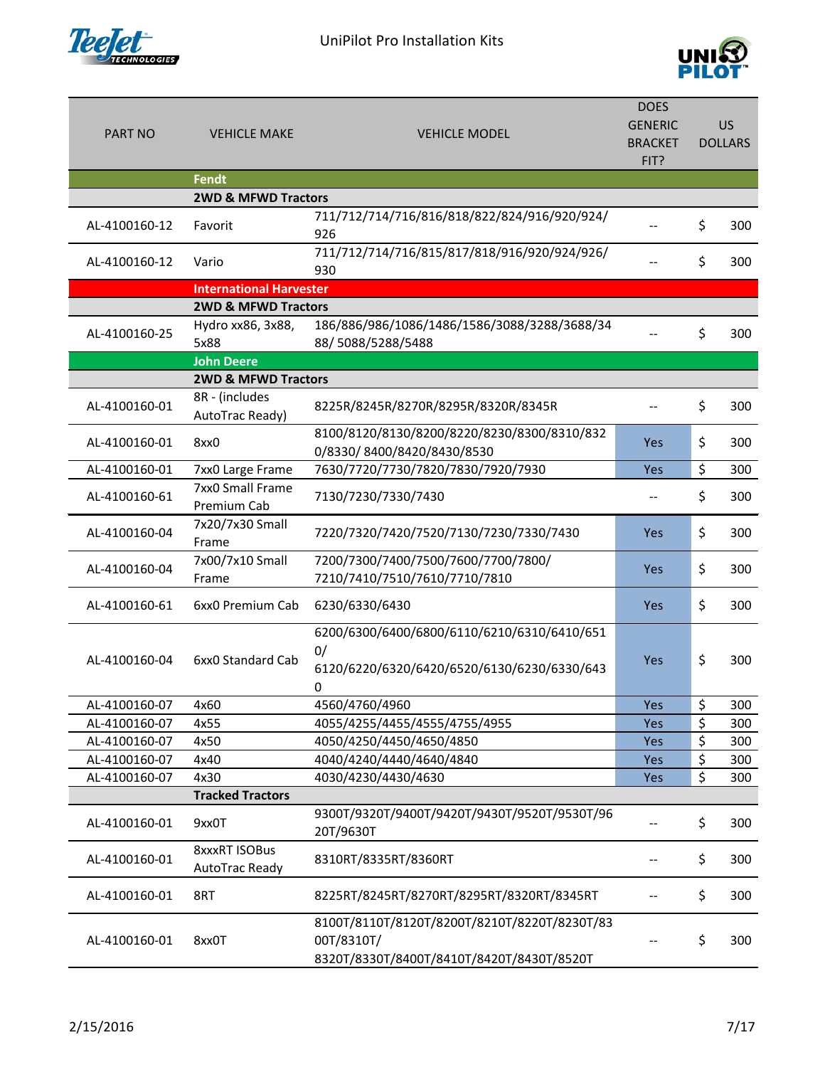



| <b>PART NO</b> | <b>VEHICLE MAKE</b>                       | <b>VEHICLE MODEL</b>                                                                                    | <b>DOES</b><br><b>GENERIC</b><br><b>BRACKET</b><br>FIT? | <b>US</b><br><b>DOLLARS</b> |
|----------------|-------------------------------------------|---------------------------------------------------------------------------------------------------------|---------------------------------------------------------|-----------------------------|
|                | <b>Fendt</b>                              |                                                                                                         |                                                         |                             |
| AL-4100160-12  | <b>2WD &amp; MFWD Tractors</b><br>Favorit | 711/712/714/716/816/818/822/824/916/920/924/<br>926                                                     |                                                         | \$<br>300                   |
| AL-4100160-12  | Vario                                     | 711/712/714/716/815/817/818/916/920/924/926/<br>930                                                     |                                                         | \$<br>300                   |
|                | <b>International Harvester</b>            |                                                                                                         |                                                         |                             |
|                | <b>2WD &amp; MFWD Tractors</b>            |                                                                                                         |                                                         |                             |
| AL-4100160-25  | Hydro xx86, 3x88,<br>5x88                 | 186/886/986/1086/1486/1586/3088/3288/3688/34<br>88/5088/5288/5488                                       |                                                         | \$<br>300                   |
|                | <b>John Deere</b>                         |                                                                                                         |                                                         |                             |
|                | <b>2WD &amp; MFWD Tractors</b>            |                                                                                                         |                                                         |                             |
| AL-4100160-01  | 8R - (includes<br>AutoTrac Ready)         | 8225R/8245R/8270R/8295R/8320R/8345R                                                                     |                                                         | \$<br>300                   |
| AL-4100160-01  | 8xx0                                      | 8100/8120/8130/8200/8220/8230/8300/8310/832<br>0/8330/8400/8420/8430/8530                               | <b>Yes</b>                                              | \$<br>300                   |
| AL-4100160-01  | 7xx0 Large Frame                          | 7630/7720/7730/7820/7830/7920/7930                                                                      | Yes                                                     | \$<br>300                   |
| AL-4100160-61  | 7xx0 Small Frame<br>Premium Cab           | 7130/7230/7330/7430                                                                                     |                                                         | \$<br>300                   |
| AL-4100160-04  | 7x20/7x30 Small<br>Frame                  | 7220/7320/7420/7520/7130/7230/7330/7430                                                                 | Yes                                                     | \$<br>300                   |
|                | 7x00/7x10 Small                           | 7200/7300/7400/7500/7600/7700/7800/                                                                     |                                                         |                             |
| AL-4100160-04  | Frame                                     | 7210/7410/7510/7610/7710/7810                                                                           | Yes                                                     | \$<br>300                   |
| AL-4100160-61  | 6xx0 Premium Cab                          | 6230/6330/6430                                                                                          | Yes                                                     | \$<br>300                   |
| AL-4100160-04  | 6xx0 Standard Cab                         | 6200/6300/6400/6800/6110/6210/6310/6410/651<br>0/<br>6120/6220/6320/6420/6520/6130/6230/6330/643<br>0   | Yes                                                     | \$<br>300                   |
| AL-4100160-07  | 4x60                                      | 4560/4760/4960                                                                                          | Yes                                                     | \$<br>300                   |
| AL-4100160-07  | 4x55                                      | 4055/4255/4455/4555/4755/4955                                                                           | Yes                                                     | \$<br>300                   |
| AL-4100160-07  | 4x50                                      | 4050/4250/4450/4650/4850                                                                                | Yes                                                     | \$<br>300                   |
| AL-4100160-07  | 4x40                                      | 4040/4240/4440/4640/4840                                                                                | Yes                                                     | \$<br>300                   |
| AL-4100160-07  | 4x30                                      | 4030/4230/4430/4630                                                                                     | Yes                                                     | \$<br>300                   |
|                | <b>Tracked Tractors</b>                   |                                                                                                         |                                                         |                             |
| AL-4100160-01  | 9xx0T                                     | 9300T/9320T/9400T/9420T/9430T/9520T/9530T/96<br>20T/9630T                                               |                                                         | \$<br>300                   |
| AL-4100160-01  | <b>8xxxRT ISOBus</b><br>AutoTrac Ready    | 8310RT/8335RT/8360RT                                                                                    |                                                         | \$<br>300                   |
| AL-4100160-01  | 8RT                                       | 8225RT/8245RT/8270RT/8295RT/8320RT/8345RT                                                               |                                                         | \$<br>300                   |
| AL-4100160-01  | 8xx0T                                     | 8100T/8110T/8120T/8200T/8210T/8220T/8230T/83<br>00T/8310T/<br>8320T/8330T/8400T/8410T/8420T/8430T/8520T |                                                         | \$<br>300                   |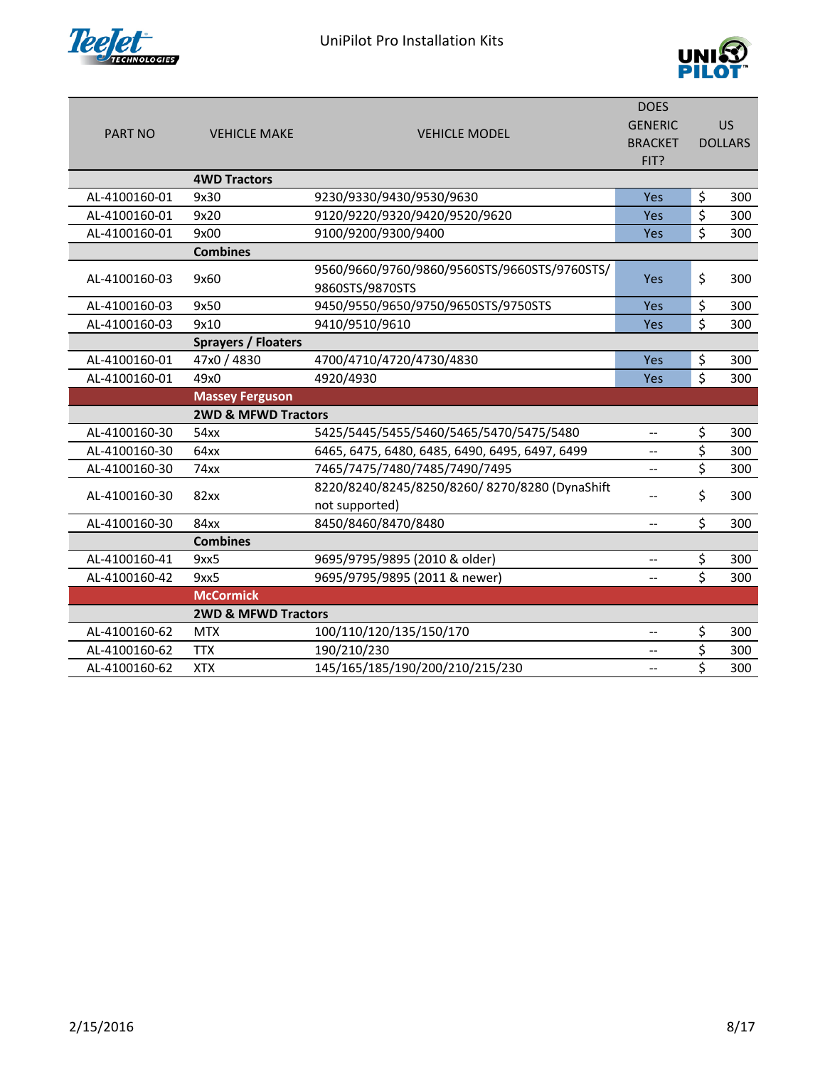



|                |                                |                                                | <b>DOES</b>              |                          |                |
|----------------|--------------------------------|------------------------------------------------|--------------------------|--------------------------|----------------|
|                |                                |                                                | <b>GENERIC</b>           |                          | <b>US</b>      |
| <b>PART NO</b> | <b>VEHICLE MAKE</b>            | <b>VEHICLE MODEL</b>                           | <b>BRACKET</b>           |                          | <b>DOLLARS</b> |
|                |                                |                                                | FIT?                     |                          |                |
|                | <b>4WD Tractors</b>            |                                                |                          |                          |                |
| AL-4100160-01  | 9x30                           | 9230/9330/9430/9530/9630                       | Yes                      | \$                       | 300            |
| AL-4100160-01  | 9x20                           | 9120/9220/9320/9420/9520/9620                  | Yes                      | $\overline{\mathcal{S}}$ | 300            |
| AL-4100160-01  | 9x00                           | 9100/9200/9300/9400                            | <b>Yes</b>               | $\overline{\mathsf{S}}$  | 300            |
|                | <b>Combines</b>                |                                                |                          |                          |                |
|                | 9x60                           | 9560/9660/9760/9860/9560STS/9660STS/9760STS/   | Yes                      | \$                       |                |
| AL-4100160-03  |                                | 9860STS/9870STS                                |                          |                          | 300            |
| AL-4100160-03  | 9x50                           | 9450/9550/9650/9750/9650STS/9750STS            | Yes                      | \$                       | 300            |
| AL-4100160-03  | 9x10                           | 9410/9510/9610                                 | Yes                      | \$                       | 300            |
|                | <b>Sprayers / Floaters</b>     |                                                |                          |                          |                |
| AL-4100160-01  | 47x0 / 4830                    | 4700/4710/4720/4730/4830                       | Yes                      | \$                       | 300            |
| AL-4100160-01  | 49x0                           | 4920/4930                                      | <b>Yes</b>               | $\zeta$                  | 300            |
|                | <b>Massey Ferguson</b>         |                                                |                          |                          |                |
|                | <b>2WD &amp; MFWD Tractors</b> |                                                |                          |                          |                |
| AL-4100160-30  | 54xx                           | 5425/5445/5455/5460/5465/5470/5475/5480        | $\overline{\phantom{a}}$ | \$                       | 300            |
| AL-4100160-30  | 64xx                           | 6465, 6475, 6480, 6485, 6490, 6495, 6497, 6499 | --                       | \$                       | 300            |
| AL-4100160-30  | 74xx                           | 7465/7475/7480/7485/7490/7495                  | $\overline{\phantom{a}}$ | \$                       | 300            |
| AL-4100160-30  | 82xx                           | 8220/8240/8245/8250/8260/8270/8280 (DynaShift  |                          | \$                       | 300            |
|                |                                | not supported)                                 | --                       |                          |                |
| AL-4100160-30  | 84xx                           | 8450/8460/8470/8480                            | --                       | \$                       | 300            |
|                | <b>Combines</b>                |                                                |                          |                          |                |
| AL-4100160-41  | 9xx5                           | 9695/9795/9895 (2010 & older)                  | --                       | \$                       | 300            |
| AL-4100160-42  | 9xx5                           | 9695/9795/9895 (2011 & newer)                  | --                       | \$                       | 300            |
|                | <b>McCormick</b>               |                                                |                          |                          |                |
|                | <b>2WD &amp; MFWD Tractors</b> |                                                |                          |                          |                |
| AL-4100160-62  | <b>MTX</b>                     | 100/110/120/135/150/170                        | $-$                      | \$                       | 300            |
| AL-4100160-62  | <b>TTX</b>                     | 190/210/230                                    | $\overline{\phantom{a}}$ | \$                       | 300            |
| AL-4100160-62  | <b>XTX</b>                     | 145/165/185/190/200/210/215/230                | $\overline{\phantom{a}}$ | \$                       | 300            |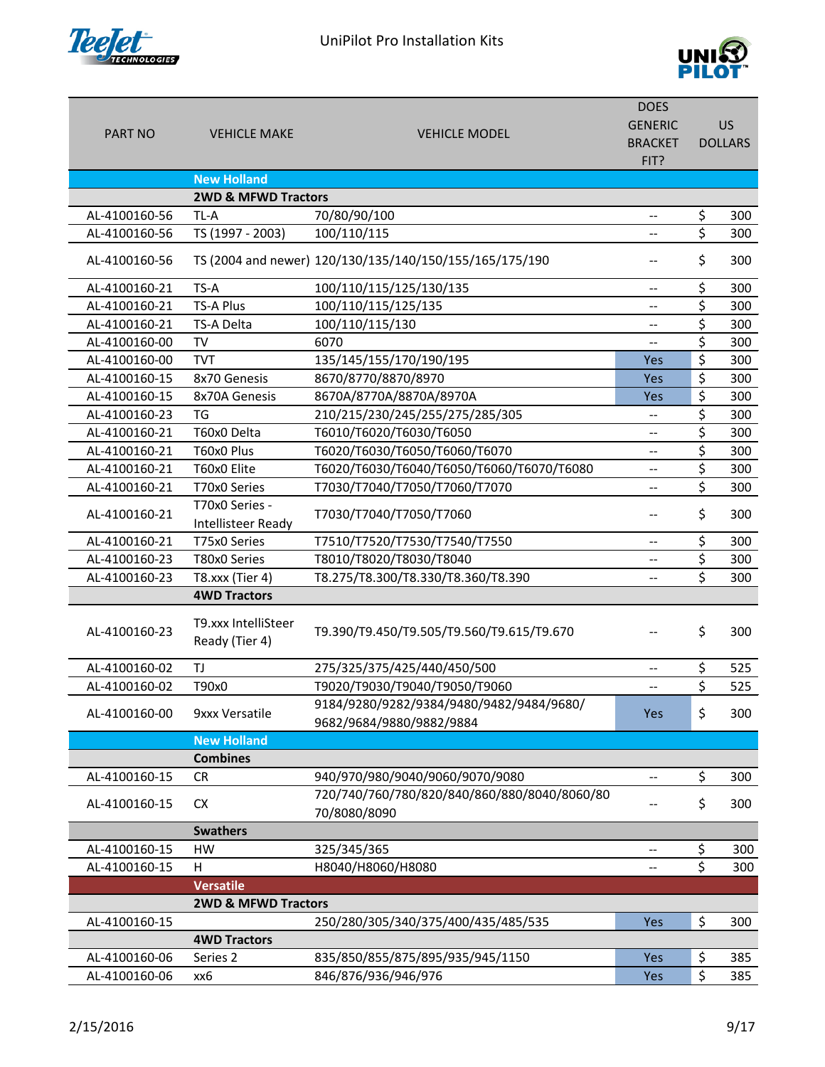

UniPilot Pro Installation Kits



|                |                                             |                                                                      | <b>DOES</b>              |                          |                |
|----------------|---------------------------------------------|----------------------------------------------------------------------|--------------------------|--------------------------|----------------|
| <b>PART NO</b> | <b>VEHICLE MAKE</b>                         | <b>VEHICLE MODEL</b>                                                 | <b>GENERIC</b>           |                          | <b>US</b>      |
|                |                                             |                                                                      | <b>BRACKET</b>           |                          | <b>DOLLARS</b> |
|                |                                             |                                                                      | FIT?                     |                          |                |
|                | <b>New Holland</b>                          |                                                                      |                          |                          |                |
| AL-4100160-56  | <b>2WD &amp; MFWD Tractors</b>              |                                                                      |                          |                          |                |
| AL-4100160-56  | TL-A                                        | 70/80/90/100                                                         | $-$                      | \$<br>\$                 | 300<br>300     |
|                | TS (1997 - 2003)                            | 100/110/115                                                          | $\overline{\phantom{a}}$ |                          |                |
| AL-4100160-56  |                                             | TS (2004 and newer) 120/130/135/140/150/155/165/175/190              |                          | \$                       | 300            |
| AL-4100160-21  | TS-A                                        | 100/110/115/125/130/135                                              | --                       | \$                       | 300            |
| AL-4100160-21  | <b>TS-A Plus</b>                            | 100/110/115/125/135                                                  | --                       | \$                       | 300            |
| AL-4100160-21  | TS-A Delta                                  | 100/110/115/130                                                      | --                       | \$                       | 300            |
| AL-4100160-00  | TV                                          | 6070                                                                 | $\overline{\phantom{a}}$ | \$                       | 300            |
| AL-4100160-00  | <b>TVT</b>                                  | 135/145/155/170/190/195                                              | Yes                      | $\overline{\mathcal{S}}$ | 300            |
| AL-4100160-15  | 8x70 Genesis                                | 8670/8770/8870/8970                                                  | Yes                      | \$                       | 300            |
| AL-4100160-15  | 8x70A Genesis                               | 8670A/8770A/8870A/8970A                                              | Yes                      | \$                       | 300            |
| AL-4100160-23  | TG                                          | 210/215/230/245/255/275/285/305                                      | $\overline{\phantom{a}}$ | \$                       | 300            |
| AL-4100160-21  | T60x0 Delta                                 | T6010/T6020/T6030/T6050                                              | $\overline{\phantom{a}}$ | \$                       | 300            |
| AL-4100160-21  | T60x0 Plus                                  | T6020/T6030/T6050/T6060/T6070                                        | $\overline{\phantom{a}}$ | \$                       | 300            |
| AL-4100160-21  | T60x0 Elite                                 | T6020/T6030/T6040/T6050/T6060/T6070/T6080                            | $\overline{\phantom{a}}$ | $\overline{\xi}$         | 300            |
| AL-4100160-21  | T70x0 Series                                | T7030/T7040/T7050/T7060/T7070                                        | --                       | \$                       | 300            |
| AL-4100160-21  | T70x0 Series -<br><b>Intellisteer Ready</b> | T7030/T7040/T7050/T7060                                              | --                       | \$                       | 300            |
| AL-4100160-21  | T75x0 Series                                | T7510/T7520/T7530/T7540/T7550                                        | $\overline{\phantom{a}}$ | \$                       | 300            |
| AL-4100160-23  | T80x0 Series                                | T8010/T8020/T8030/T8040                                              | --                       | \$                       | 300            |
| AL-4100160-23  | T8.xxx (Tier 4)                             | T8.275/T8.300/T8.330/T8.360/T8.390                                   | --                       | \$                       | 300            |
|                | <b>4WD Tractors</b>                         |                                                                      |                          |                          |                |
| AL-4100160-23  | T9.xxx IntelliSteer<br>Ready (Tier 4)       | T9.390/T9.450/T9.505/T9.560/T9.615/T9.670                            | --                       | \$                       | 300            |
| AL-4100160-02  | TJ                                          | 275/325/375/425/440/450/500                                          | $-\!$                    | \$                       | 525            |
| AL-4100160-02  | T90x0                                       | T9020/T9030/T9040/T9050/T9060                                        |                          | \$                       | 525            |
| AL-4100160-00  | 9xxx Versatile                              | 9184/9280/9282/9384/9480/9482/9484/9680/<br>9682/9684/9880/9882/9884 | Yes                      | \$                       | 300            |
|                | <b>New Holland</b>                          |                                                                      |                          |                          |                |
|                | <b>Combines</b>                             |                                                                      |                          |                          |                |
| AL-4100160-15  | <b>CR</b>                                   | 940/970/980/9040/9060/9070/9080                                      | --                       | \$                       | 300            |
|                |                                             | 720/740/760/780/820/840/860/880/8040/8060/80                         |                          |                          |                |
| AL-4100160-15  | <b>CX</b>                                   | 70/8080/8090                                                         |                          | \$                       | 300            |
|                | <b>Swathers</b>                             |                                                                      |                          |                          |                |
| AL-4100160-15  | HW                                          | 325/345/365                                                          | --                       | \$                       | 300            |
| AL-4100160-15  | H                                           | H8040/H8060/H8080                                                    | $-\!$ $\!-$              | \$                       | 300            |
|                | <b>Versatile</b>                            |                                                                      |                          |                          |                |
|                | <b>2WD &amp; MFWD Tractors</b>              |                                                                      |                          |                          |                |
| AL-4100160-15  |                                             | 250/280/305/340/375/400/435/485/535                                  | <b>Yes</b>               | \$                       | 300            |
|                | <b>4WD Tractors</b>                         |                                                                      |                          |                          |                |
| AL-4100160-06  | Series 2                                    | 835/850/855/875/895/935/945/1150                                     | Yes                      | \$                       | 385            |
| AL-4100160-06  | хх6                                         | 846/876/936/946/976                                                  | Yes                      | \$                       | 385            |
|                |                                             |                                                                      |                          |                          |                |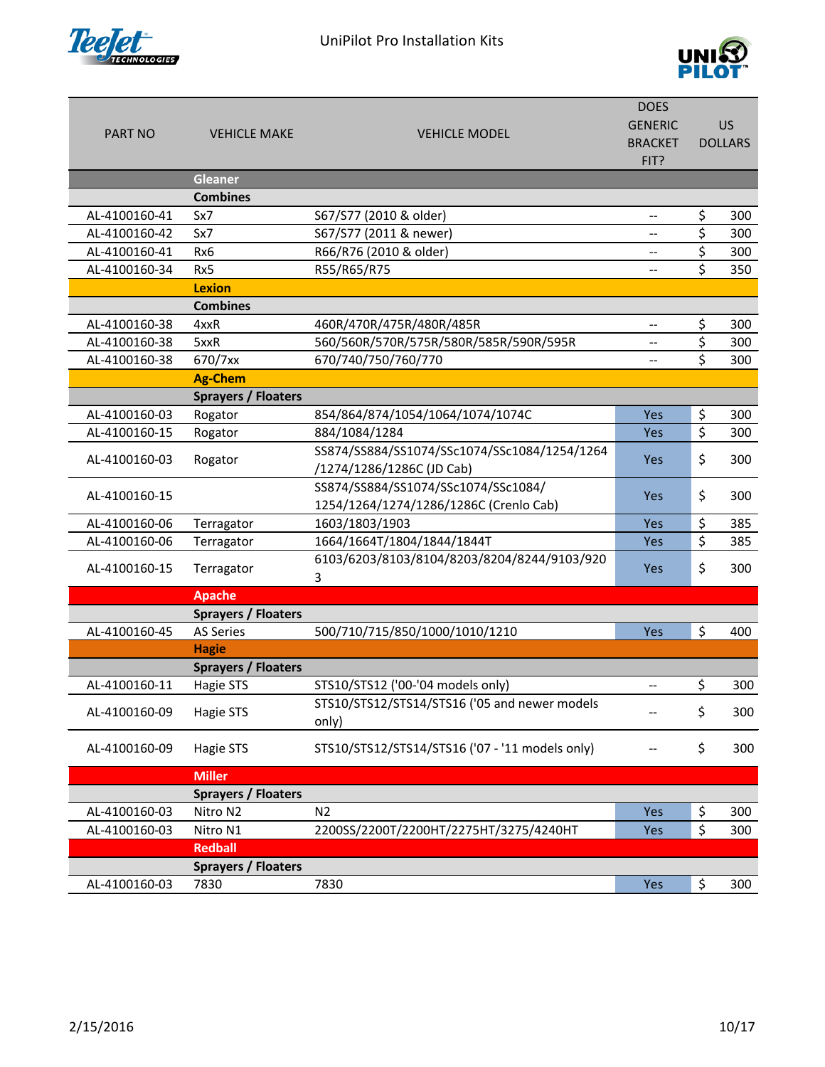



| <b>PART NO</b> | <b>VEHICLE MAKE</b>        | <b>VEHICLE MODEL</b>                                                          | <b>DOES</b><br><b>GENERIC</b> |                  | <b>US</b><br><b>DOLLARS</b> |
|----------------|----------------------------|-------------------------------------------------------------------------------|-------------------------------|------------------|-----------------------------|
|                |                            |                                                                               | <b>BRACKET</b><br>FIT?        |                  |                             |
|                | <b>Gleaner</b>             |                                                                               |                               |                  |                             |
|                | <b>Combines</b>            |                                                                               |                               |                  |                             |
| AL-4100160-41  | Sx7                        | S67/S77 (2010 & older)                                                        | --                            | \$               | 300                         |
| AL-4100160-42  | Sx7                        | S67/S77 (2011 & newer)                                                        | --                            | \$               | 300                         |
| AL-4100160-41  | Rx6                        | R66/R76 (2010 & older)                                                        | --                            | \$               | 300                         |
| AL-4100160-34  | Rx5                        | R55/R65/R75                                                                   | $-$                           | \$               | 350                         |
|                | <b>Lexion</b>              |                                                                               |                               |                  |                             |
|                | <b>Combines</b>            |                                                                               |                               |                  |                             |
| AL-4100160-38  | 4xxR                       | 460R/470R/475R/480R/485R                                                      | $-$                           | \$               | 300                         |
| AL-4100160-38  | 5xxR                       | 560/560R/570R/575R/580R/585R/590R/595R                                        | $-$                           | $\overline{\xi}$ | 300                         |
| AL-4100160-38  | 670/7xx                    | 670/740/750/760/770                                                           | --                            | \$               | 300                         |
|                | <b>Ag-Chem</b>             |                                                                               |                               |                  |                             |
|                | <b>Sprayers / Floaters</b> |                                                                               |                               |                  |                             |
| AL-4100160-03  | Rogator                    | 854/864/874/1054/1064/1074/1074C                                              | Yes                           | \$               | 300                         |
| AL-4100160-15  | Rogator                    | 884/1084/1284                                                                 | Yes                           | \$               | 300                         |
| AL-4100160-03  | Rogator                    | SS874/SS884/SS1074/SSc1074/SSc1084/1254/1264                                  | Yes                           | \$               | 300                         |
|                |                            | /1274/1286/1286C (JD Cab)                                                     |                               |                  |                             |
| AL-4100160-15  |                            | SS874/SS884/SS1074/SSc1074/SSc1084/<br>1254/1264/1274/1286/1286C (Crenlo Cab) | Yes                           | \$               | 300                         |
| AL-4100160-06  | Terragator                 | 1603/1803/1903                                                                | Yes                           | \$               | 385                         |
| AL-4100160-06  | Terragator                 | 1664/1664T/1804/1844/1844T                                                    | Yes                           | \$               | 385                         |
|                |                            | 6103/6203/8103/8104/8203/8204/8244/9103/920                                   |                               |                  |                             |
| AL-4100160-15  | Terragator                 | 3                                                                             | Yes                           | \$               | 300                         |
|                | <b>Apache</b>              |                                                                               |                               |                  |                             |
|                | <b>Sprayers / Floaters</b> |                                                                               |                               |                  |                             |
| AL-4100160-45  | <b>AS Series</b>           | 500/710/715/850/1000/1010/1210                                                | Yes                           | \$               | 400                         |
|                | <b>Hagie</b>               |                                                                               |                               |                  |                             |
|                | Sprayers / Floaters        |                                                                               |                               |                  |                             |
| AL-4100160-11  | Hagie STS                  | STS10/STS12 ('00-'04 models only)                                             |                               | \$               | 300                         |
| AL-4100160-09  | Hagie STS                  | STS10/STS12/STS14/STS16 ('05 and newer models<br>only)                        |                               | \$               | 300                         |
| AL-4100160-09  | Hagie STS                  | STS10/STS12/STS14/STS16 ('07 - '11 models only)                               |                               | \$               | 300                         |
|                | <b>Miller</b>              |                                                                               |                               |                  |                             |
|                | <b>Sprayers / Floaters</b> |                                                                               |                               |                  |                             |
| AL-4100160-03  | Nitro N2                   | N <sub>2</sub>                                                                | Yes                           | \$               | 300                         |
| AL-4100160-03  | Nitro N1                   | 2200SS/2200T/2200HT/2275HT/3275/4240HT                                        | Yes                           | \$               | 300                         |
|                | <b>Redball</b>             |                                                                               |                               |                  |                             |
|                | <b>Sprayers / Floaters</b> |                                                                               |                               |                  |                             |
| AL-4100160-03  | 7830                       | 7830                                                                          | <b>Yes</b>                    | \$               | 300                         |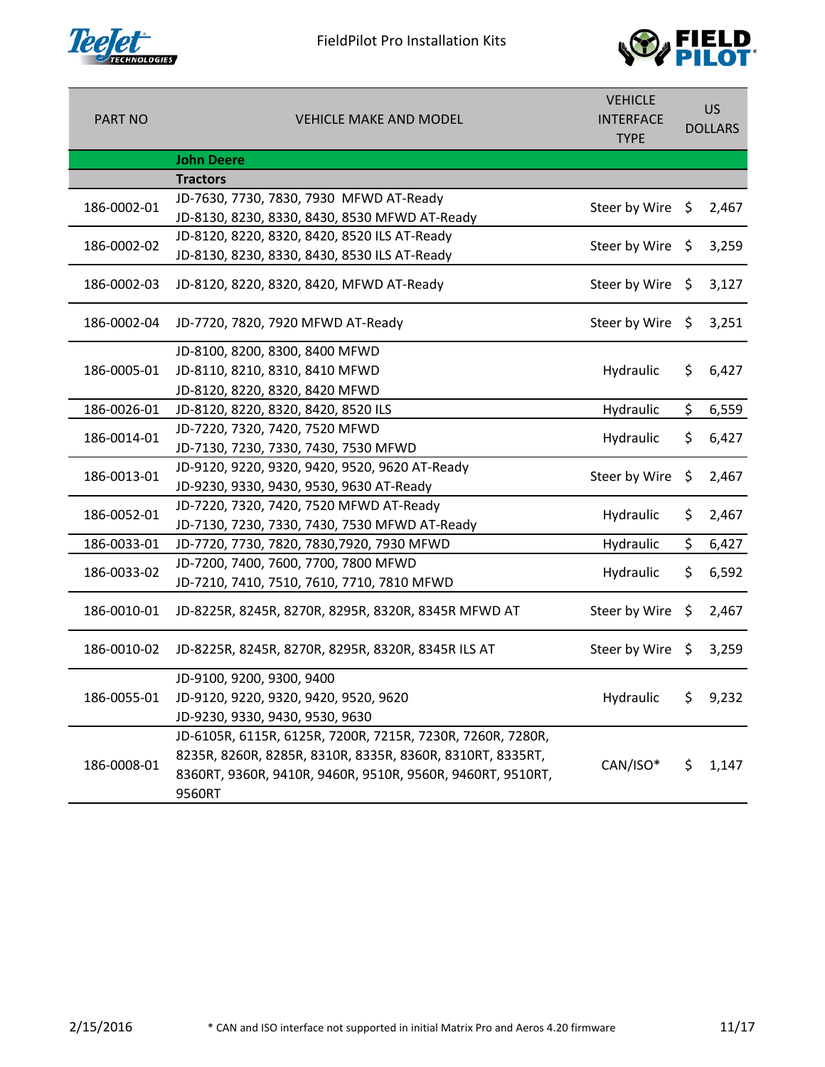



| <b>PART NO</b> | <b>VEHICLE MAKE AND MODEL</b>                              | <b>VEHICLE</b><br><b>INTERFACE</b><br><b>TYPE</b> | US.<br><b>DOLLARS</b> |       |
|----------------|------------------------------------------------------------|---------------------------------------------------|-----------------------|-------|
|                | <b>John Deere</b>                                          |                                                   |                       |       |
|                | <b>Tractors</b>                                            |                                                   |                       |       |
| 186-0002-01    | JD-7630, 7730, 7830, 7930 MFWD AT-Ready                    | Steer by Wire $\oint$                             |                       | 2,467 |
|                | JD-8130, 8230, 8330, 8430, 8530 MFWD AT-Ready              |                                                   |                       |       |
| 186-0002-02    | JD-8120, 8220, 8320, 8420, 8520 ILS AT-Ready               | Steer by Wire \$                                  |                       | 3,259 |
|                | JD-8130, 8230, 8330, 8430, 8530 ILS AT-Ready               |                                                   |                       |       |
| 186-0002-03    | JD-8120, 8220, 8320, 8420, MFWD AT-Ready                   | Steer by Wire \$                                  |                       | 3,127 |
| 186-0002-04    | JD-7720, 7820, 7920 MFWD AT-Ready                          | Steer by Wire                                     | \$                    | 3,251 |
|                | JD-8100, 8200, 8300, 8400 MFWD                             |                                                   |                       |       |
| 186-0005-01    | JD-8110, 8210, 8310, 8410 MFWD                             | Hydraulic                                         | \$.                   | 6,427 |
|                | JD-8120, 8220, 8320, 8420 MFWD                             |                                                   |                       |       |
| 186-0026-01    | JD-8120, 8220, 8320, 8420, 8520 ILS                        | Hydraulic                                         | \$                    | 6,559 |
| 186-0014-01    | JD-7220, 7320, 7420, 7520 MFWD                             | Hydraulic                                         | \$                    | 6,427 |
|                | JD-7130, 7230, 7330, 7430, 7530 MFWD                       |                                                   |                       |       |
| 186-0013-01    | JD-9120, 9220, 9320, 9420, 9520, 9620 AT-Ready             | Steer by Wire                                     | \$                    | 2,467 |
|                | JD-9230, 9330, 9430, 9530, 9630 AT-Ready                   |                                                   |                       |       |
| 186-0052-01    | JD-7220, 7320, 7420, 7520 MFWD AT-Ready                    | Hydraulic                                         | \$                    | 2,467 |
|                | JD-7130, 7230, 7330, 7430, 7530 MFWD AT-Ready              |                                                   |                       |       |
| 186-0033-01    | JD-7720, 7730, 7820, 7830, 7920, 7930 MFWD                 | Hydraulic                                         | \$                    | 6,427 |
| 186-0033-02    | JD-7200, 7400, 7600, 7700, 7800 MFWD                       | Hydraulic                                         | \$.                   | 6,592 |
|                | JD-7210, 7410, 7510, 7610, 7710, 7810 MFWD                 |                                                   |                       |       |
| 186-0010-01    | JD-8225R, 8245R, 8270R, 8295R, 8320R, 8345R MFWD AT        | Steer by Wire                                     | \$                    | 2,467 |
| 186-0010-02    | JD-8225R, 8245R, 8270R, 8295R, 8320R, 8345R ILS AT         | Steer by Wire                                     | \$                    | 3,259 |
|                | JD-9100, 9200, 9300, 9400                                  |                                                   |                       |       |
| 186-0055-01    | JD-9120, 9220, 9320, 9420, 9520, 9620                      | Hydraulic                                         | \$.                   | 9,232 |
|                | JD-9230, 9330, 9430, 9530, 9630                            |                                                   |                       |       |
|                | JD-6105R, 6115R, 6125R, 7200R, 7215R, 7230R, 7260R, 7280R, |                                                   |                       |       |
| 186-0008-01    | 8235R, 8260R, 8285R, 8310R, 8335R, 8360R, 8310RT, 8335RT,  | CAN/ISO*                                          | \$                    | 1,147 |
|                | 8360RT, 9360R, 9410R, 9460R, 9510R, 9560R, 9460RT, 9510RT, |                                                   |                       |       |
|                | 9560RT                                                     |                                                   |                       |       |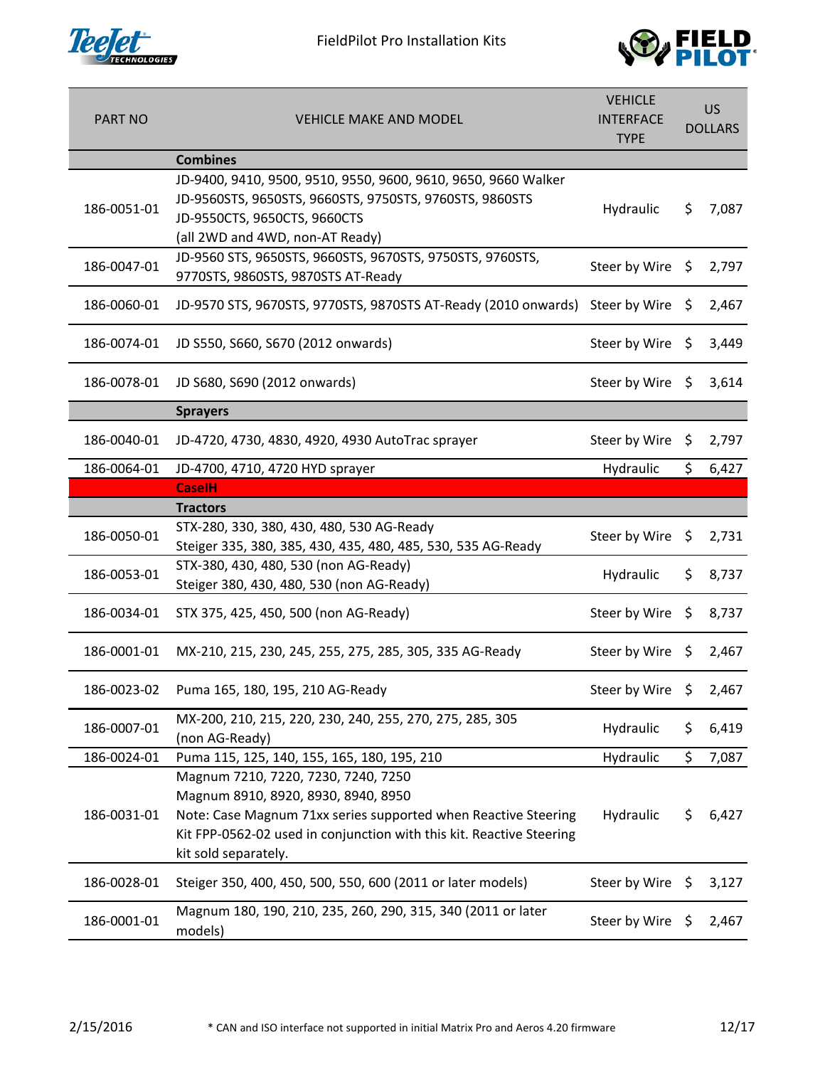



| <b>PART NO</b> | <b>VEHICLE MAKE AND MODEL</b>                                                                                                                                                                                                                | <b>VEHICLE</b><br><b>INTERFACE</b><br><b>TYPE</b> | US.<br><b>DOLLARS</b> |       |
|----------------|----------------------------------------------------------------------------------------------------------------------------------------------------------------------------------------------------------------------------------------------|---------------------------------------------------|-----------------------|-------|
|                | <b>Combines</b>                                                                                                                                                                                                                              |                                                   |                       |       |
| 186-0051-01    | JD-9400, 9410, 9500, 9510, 9550, 9600, 9610, 9650, 9660 Walker<br>JD-9560STS, 9650STS, 9660STS, 9750STS, 9760STS, 9860STS<br>JD-9550CTS, 9650CTS, 9660CTS<br>(all 2WD and 4WD, non-AT Ready)                                                 | Hydraulic                                         | \$.                   | 7,087 |
| 186-0047-01    | JD-9560 STS, 9650STS, 9660STS, 9670STS, 9750STS, 9760STS,<br>9770STS, 9860STS, 9870STS AT-Ready                                                                                                                                              | Steer by Wire \$                                  |                       | 2,797 |
| 186-0060-01    | JD-9570 STS, 9670STS, 9770STS, 9870STS AT-Ready (2010 onwards) Steer by Wire                                                                                                                                                                 |                                                   | - Ş                   | 2,467 |
| 186-0074-01    | JD S550, S660, S670 (2012 onwards)                                                                                                                                                                                                           | Steer by Wire                                     | - \$                  | 3,449 |
| 186-0078-01    | JD S680, S690 (2012 onwards)                                                                                                                                                                                                                 | Steer by Wire \$                                  |                       | 3,614 |
|                | <b>Sprayers</b>                                                                                                                                                                                                                              |                                                   |                       |       |
| 186-0040-01    | JD-4720, 4730, 4830, 4920, 4930 AutoTrac sprayer                                                                                                                                                                                             | Steer by Wire \$                                  |                       | 2,797 |
| 186-0064-01    | JD-4700, 4710, 4720 HYD sprayer                                                                                                                                                                                                              | Hydraulic                                         | \$                    | 6,427 |
|                | <b>CaselH</b>                                                                                                                                                                                                                                |                                                   |                       |       |
|                | <b>Tractors</b>                                                                                                                                                                                                                              |                                                   |                       |       |
| 186-0050-01    | STX-280, 330, 380, 430, 480, 530 AG-Ready<br>Steiger 335, 380, 385, 430, 435, 480, 485, 530, 535 AG-Ready                                                                                                                                    | Steer by Wire \$                                  |                       | 2,731 |
| 186-0053-01    | STX-380, 430, 480, 530 (non AG-Ready)<br>Steiger 380, 430, 480, 530 (non AG-Ready)                                                                                                                                                           | Hydraulic                                         | \$.                   | 8,737 |
| 186-0034-01    | STX 375, 425, 450, 500 (non AG-Ready)                                                                                                                                                                                                        | Steer by Wire                                     | \$                    | 8,737 |
| 186-0001-01    | MX-210, 215, 230, 245, 255, 275, 285, 305, 335 AG-Ready                                                                                                                                                                                      | Steer by Wire \$                                  |                       | 2,467 |
| 186-0023-02    | Puma 165, 180, 195, 210 AG-Ready                                                                                                                                                                                                             | Steer by Wire \$                                  |                       | 2,467 |
| 186-0007-01    | MX-200, 210, 215, 220, 230, 240, 255, 270, 275, 285, 305<br>(non AG-Ready)                                                                                                                                                                   | Hydraulic                                         | \$                    | 6,419 |
| 186-0024-01    | Puma 115, 125, 140, 155, 165, 180, 195, 210                                                                                                                                                                                                  | Hydraulic                                         | \$                    | 7,087 |
| 186-0031-01    | Magnum 7210, 7220, 7230, 7240, 7250<br>Magnum 8910, 8920, 8930, 8940, 8950<br>Note: Case Magnum 71xx series supported when Reactive Steering<br>Kit FPP-0562-02 used in conjunction with this kit. Reactive Steering<br>kit sold separately. | Hydraulic                                         | \$                    | 6,427 |
| 186-0028-01    | Steiger 350, 400, 450, 500, 550, 600 (2011 or later models)                                                                                                                                                                                  | Steer by Wire                                     | $\ddot{\varsigma}$    | 3,127 |
| 186-0001-01    | Magnum 180, 190, 210, 235, 260, 290, 315, 340 (2011 or later<br>models)                                                                                                                                                                      | Steer by Wire \$                                  |                       | 2,467 |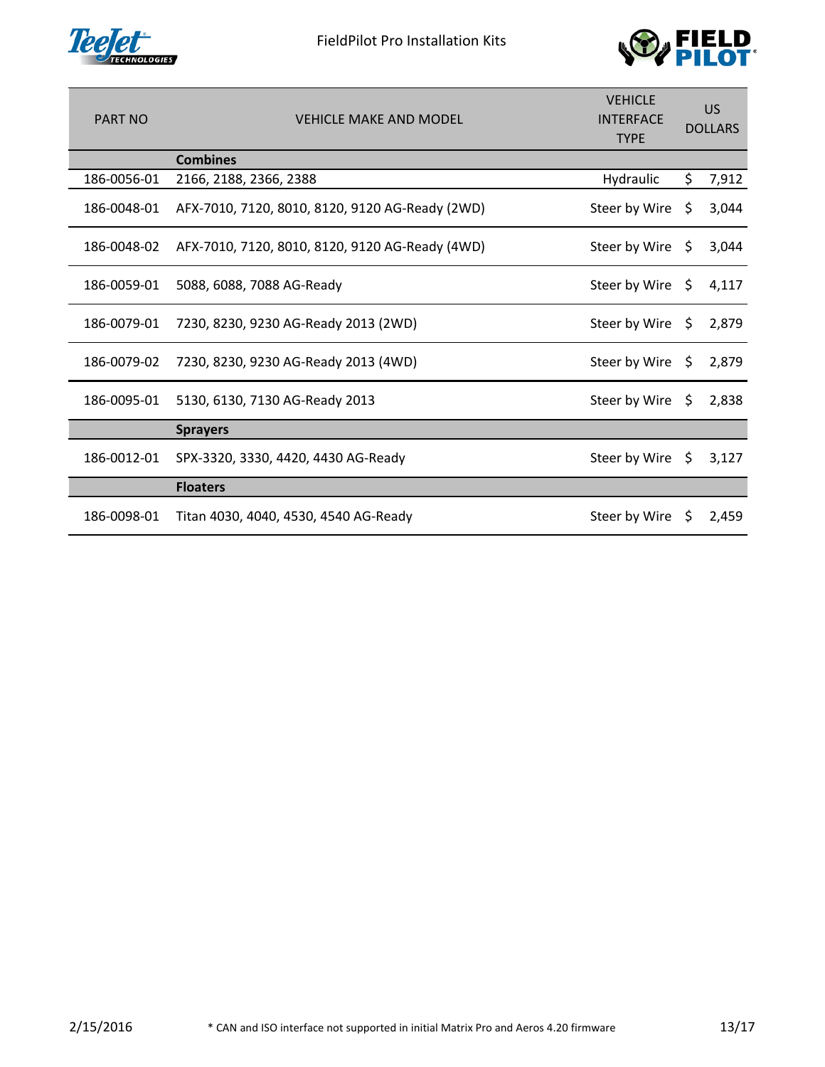



| <b>PART NO</b> | <b>VEHICLE MAKE AND MODEL</b>                   | <b>VEHICLE</b><br><b>INTERFACE</b><br><b>TYPE</b> | <b>US</b><br><b>DOLLARS</b> |       |
|----------------|-------------------------------------------------|---------------------------------------------------|-----------------------------|-------|
|                | <b>Combines</b>                                 |                                                   |                             |       |
| 186-0056-01    | 2166, 2188, 2366, 2388                          | Hydraulic                                         | \$.                         | 7,912 |
| 186-0048-01    | AFX-7010, 7120, 8010, 8120, 9120 AG-Ready (2WD) | Steer by Wire                                     | \$                          | 3,044 |
| 186-0048-02    | AFX-7010, 7120, 8010, 8120, 9120 AG-Ready (4WD) | Steer by Wire                                     | Ŝ.                          | 3,044 |
| 186-0059-01    | 5088, 6088, 7088 AG-Ready                       | Steer by Wire                                     | \$.                         | 4,117 |
| 186-0079-01    | 7230, 8230, 9230 AG-Ready 2013 (2WD)            | Steer by Wire $\oint$                             |                             | 2,879 |
| 186-0079-02    | 7230, 8230, 9230 AG-Ready 2013 (4WD)            | Steer by Wire                                     | - \$                        | 2,879 |
| 186-0095-01    | 5130, 6130, 7130 AG-Ready 2013                  | Steer by Wire                                     | Ŝ.                          | 2,838 |
|                | <b>Sprayers</b>                                 |                                                   |                             |       |
| 186-0012-01    | SPX-3320, 3330, 4420, 4430 AG-Ready             | Steer by Wire                                     | S.                          | 3,127 |
|                | <b>Floaters</b>                                 |                                                   |                             |       |
| 186-0098-01    | Titan 4030, 4040, 4530, 4540 AG-Ready           | Steer by Wire                                     | S                           | 2,459 |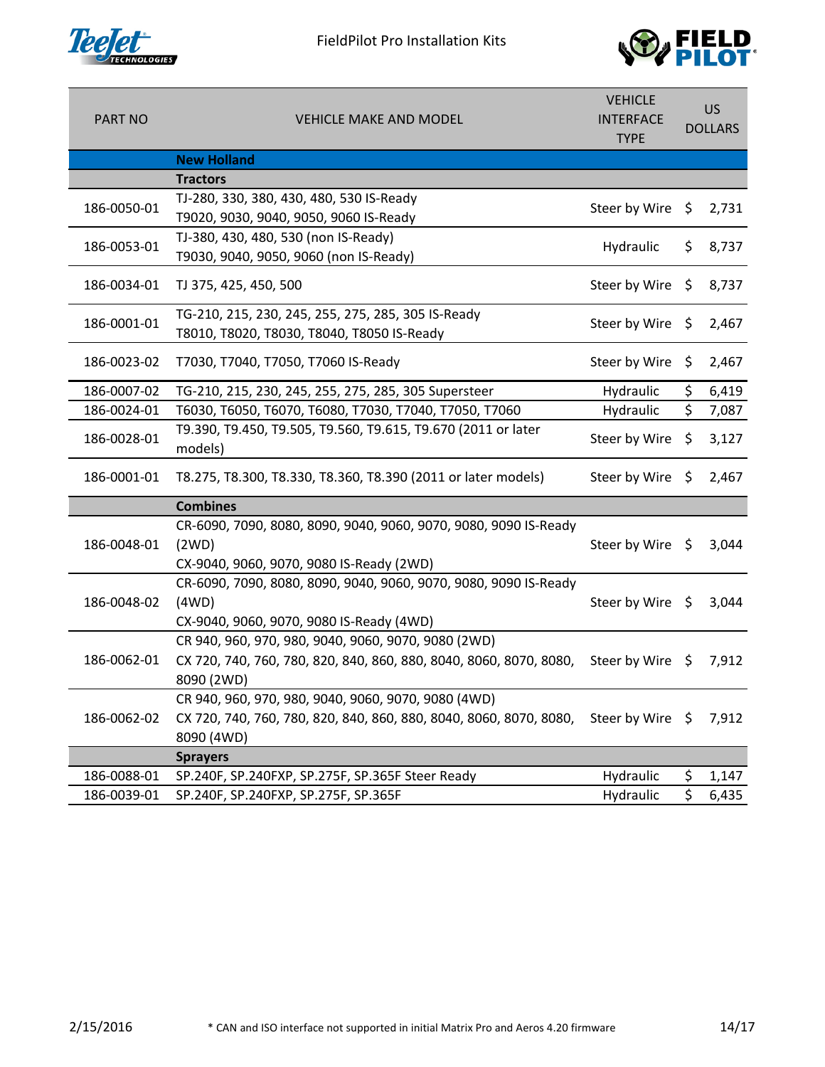



| <b>PART NO</b> | <b>VEHICLE MAKE AND MODEL</b>                                                                                                                            | <b>VEHICLE</b><br><b>INTERFACE</b><br><b>TYPE</b> | US<br><b>DOLLARS</b> |       |
|----------------|----------------------------------------------------------------------------------------------------------------------------------------------------------|---------------------------------------------------|----------------------|-------|
|                | <b>New Holland</b>                                                                                                                                       |                                                   |                      |       |
|                | <b>Tractors</b>                                                                                                                                          |                                                   |                      |       |
| 186-0050-01    | TJ-280, 330, 380, 430, 480, 530 IS-Ready<br>T9020, 9030, 9040, 9050, 9060 IS-Ready                                                                       | Steer by Wire $\oint$                             |                      | 2,731 |
| 186-0053-01    | TJ-380, 430, 480, 530 (non IS-Ready)<br>T9030, 9040, 9050, 9060 (non IS-Ready)                                                                           | Hydraulic                                         | \$                   | 8,737 |
| 186-0034-01    | TJ 375, 425, 450, 500                                                                                                                                    | Steer by Wire $\oint$                             |                      | 8,737 |
| 186-0001-01    | TG-210, 215, 230, 245, 255, 275, 285, 305 IS-Ready<br>T8010, T8020, T8030, T8040, T8050 IS-Ready                                                         | Steer by Wire \$                                  |                      | 2,467 |
| 186-0023-02    | T7030, T7040, T7050, T7060 IS-Ready                                                                                                                      | Steer by Wire                                     | $\zeta$              | 2,467 |
| 186-0007-02    | TG-210, 215, 230, 245, 255, 275, 285, 305 Supersteer                                                                                                     | Hydraulic                                         | \$                   | 6,419 |
| 186-0024-01    | T6030, T6050, T6070, T6080, T7030, T7040, T7050, T7060                                                                                                   | Hydraulic                                         | \$                   | 7,087 |
| 186-0028-01    | T9.390, T9.450, T9.505, T9.560, T9.615, T9.670 (2011 or later<br>models)                                                                                 | Steer by Wire                                     | \$                   | 3,127 |
| 186-0001-01    | T8.275, T8.300, T8.330, T8.360, T8.390 (2011 or later models)                                                                                            | Steer by Wire $\oint$                             |                      | 2,467 |
|                | <b>Combines</b>                                                                                                                                          |                                                   |                      |       |
| 186-0048-01    | CR-6090, 7090, 8080, 8090, 9040, 9060, 9070, 9080, 9090 IS-Ready<br>(2WD)<br>CX-9040, 9060, 9070, 9080 IS-Ready (2WD)                                    | Steer by Wire $\oint$                             |                      | 3,044 |
| 186-0048-02    | CR-6090, 7090, 8080, 8090, 9040, 9060, 9070, 9080, 9090 IS-Ready<br>(4WD)<br>CX-9040, 9060, 9070, 9080 IS-Ready (4WD)                                    | Steer by Wire \$                                  |                      | 3,044 |
| 186-0062-01    | CR 940, 960, 970, 980, 9040, 9060, 9070, 9080 (2WD)<br>CX 720, 740, 760, 780, 820, 840, 860, 880, 8040, 8060, 8070, 8080, Steer by Wire \$<br>8090 (2WD) |                                                   |                      | 7,912 |
| 186-0062-02    | CR 940, 960, 970, 980, 9040, 9060, 9070, 9080 (4WD)<br>CX 720, 740, 760, 780, 820, 840, 860, 880, 8040, 8060, 8070, 8080,<br>8090 (4WD)                  | Steer by Wire \$                                  |                      | 7,912 |
|                | <b>Sprayers</b>                                                                                                                                          |                                                   |                      |       |
| 186-0088-01    | SP.240F, SP.240FXP, SP.275F, SP.365F Steer Ready                                                                                                         | Hydraulic                                         | \$                   | 1,147 |
| 186-0039-01    | SP.240F, SP.240FXP, SP.275F, SP.365F                                                                                                                     | Hydraulic                                         | \$                   | 6,435 |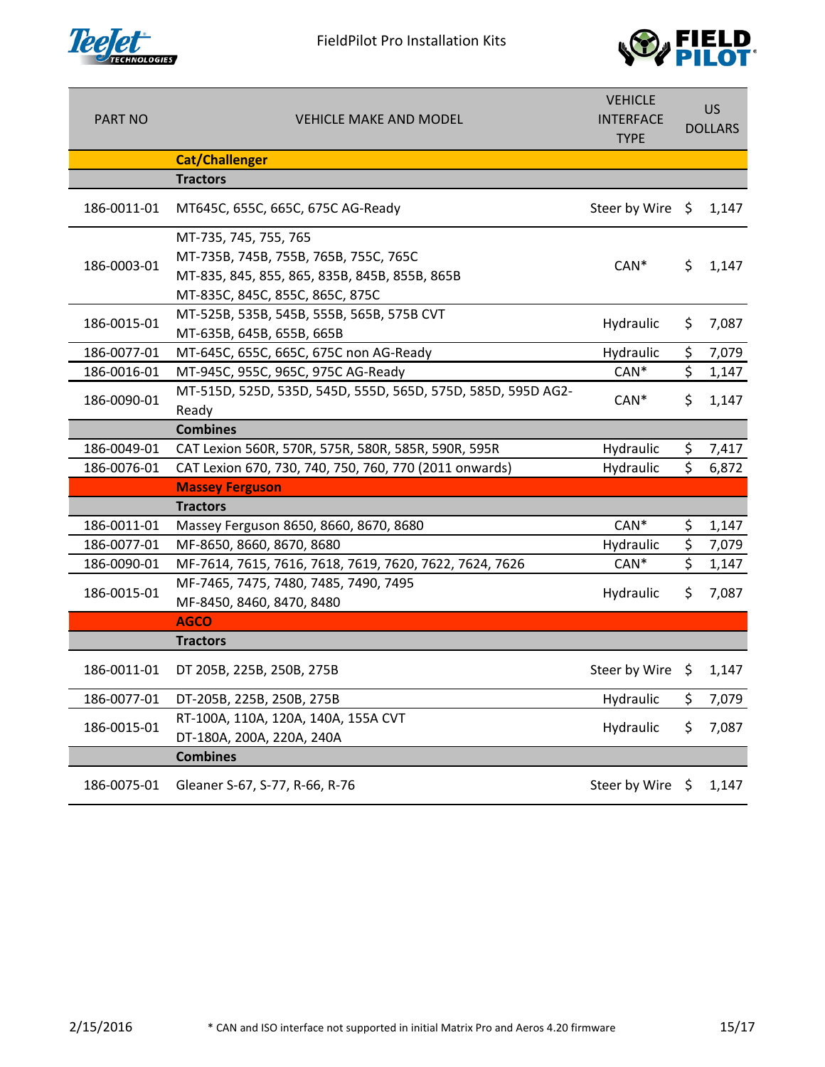

FieldPilot Pro Installation Kits



| <b>PART NO</b> | <b>VEHICLE MAKE AND MODEL</b>                                                                                                                      | <b>VEHICLE</b><br><b>INTERFACE</b><br><b>TYPE</b> | US.<br><b>DOLLARS</b> |       |
|----------------|----------------------------------------------------------------------------------------------------------------------------------------------------|---------------------------------------------------|-----------------------|-------|
|                | <b>Cat/Challenger</b>                                                                                                                              |                                                   |                       |       |
|                | <b>Tractors</b>                                                                                                                                    |                                                   |                       |       |
| 186-0011-01    | MT645C, 655C, 665C, 675C AG-Ready                                                                                                                  | Steer by Wire $\oint$                             |                       | 1,147 |
| 186-0003-01    | MT-735, 745, 755, 765<br>MT-735B, 745B, 755B, 765B, 755C, 765C<br>MT-835, 845, 855, 865, 835B, 845B, 855B, 865B<br>MT-835C, 845C, 855C, 865C, 875C | $CAN*$                                            | \$.                   | 1,147 |
| 186-0015-01    | MT-525B, 535B, 545B, 555B, 565B, 575B CVT<br>MT-635B, 645B, 655B, 665B                                                                             | Hydraulic                                         | \$                    | 7,087 |
| 186-0077-01    | MT-645C, 655C, 665C, 675C non AG-Ready                                                                                                             | Hydraulic                                         | \$                    | 7,079 |
| 186-0016-01    | MT-945C, 955C, 965C, 975C AG-Ready                                                                                                                 | $CAN*$                                            | \$                    | 1,147 |
| 186-0090-01    | MT-515D, 525D, 535D, 545D, 555D, 565D, 575D, 585D, 595D AG2-<br>Ready                                                                              | $CAN*$                                            | \$                    | 1,147 |
|                | <b>Combines</b>                                                                                                                                    |                                                   |                       |       |
| 186-0049-01    | CAT Lexion 560R, 570R, 575R, 580R, 585R, 590R, 595R                                                                                                | Hydraulic                                         | \$                    | 7,417 |
| 186-0076-01    | CAT Lexion 670, 730, 740, 750, 760, 770 (2011 onwards)                                                                                             | Hydraulic                                         | \$                    | 6,872 |
|                | <b>Massey Ferguson</b>                                                                                                                             |                                                   |                       |       |
|                | <b>Tractors</b>                                                                                                                                    |                                                   |                       |       |
| 186-0011-01    | Massey Ferguson 8650, 8660, 8670, 8680                                                                                                             | $CAN*$                                            | \$                    | 1,147 |
| 186-0077-01    | MF-8650, 8660, 8670, 8680                                                                                                                          | Hydraulic                                         | \$                    | 7,079 |
| 186-0090-01    | MF-7614, 7615, 7616, 7618, 7619, 7620, 7622, 7624, 7626                                                                                            | $CAN*$                                            | \$                    | 1,147 |
| 186-0015-01    | MF-7465, 7475, 7480, 7485, 7490, 7495<br>MF-8450, 8460, 8470, 8480                                                                                 | Hydraulic                                         | \$                    | 7,087 |
|                | <b>AGCO</b>                                                                                                                                        |                                                   |                       |       |
|                | <b>Tractors</b>                                                                                                                                    |                                                   |                       |       |
| 186-0011-01    | DT 205B, 225B, 250B, 275B                                                                                                                          | Steer by Wire $\oint$                             |                       | 1,147 |
| 186-0077-01    | DT-205B, 225B, 250B, 275B                                                                                                                          | Hydraulic                                         | \$                    | 7,079 |
| 186-0015-01    | RT-100A, 110A, 120A, 140A, 155A CVT<br>DT-180A, 200A, 220A, 240A                                                                                   | Hydraulic                                         | \$                    | 7,087 |
|                | <b>Combines</b>                                                                                                                                    |                                                   |                       |       |
| 186-0075-01    | Gleaner S-67, S-77, R-66, R-76                                                                                                                     | Steer by Wire                                     | \$                    | 1,147 |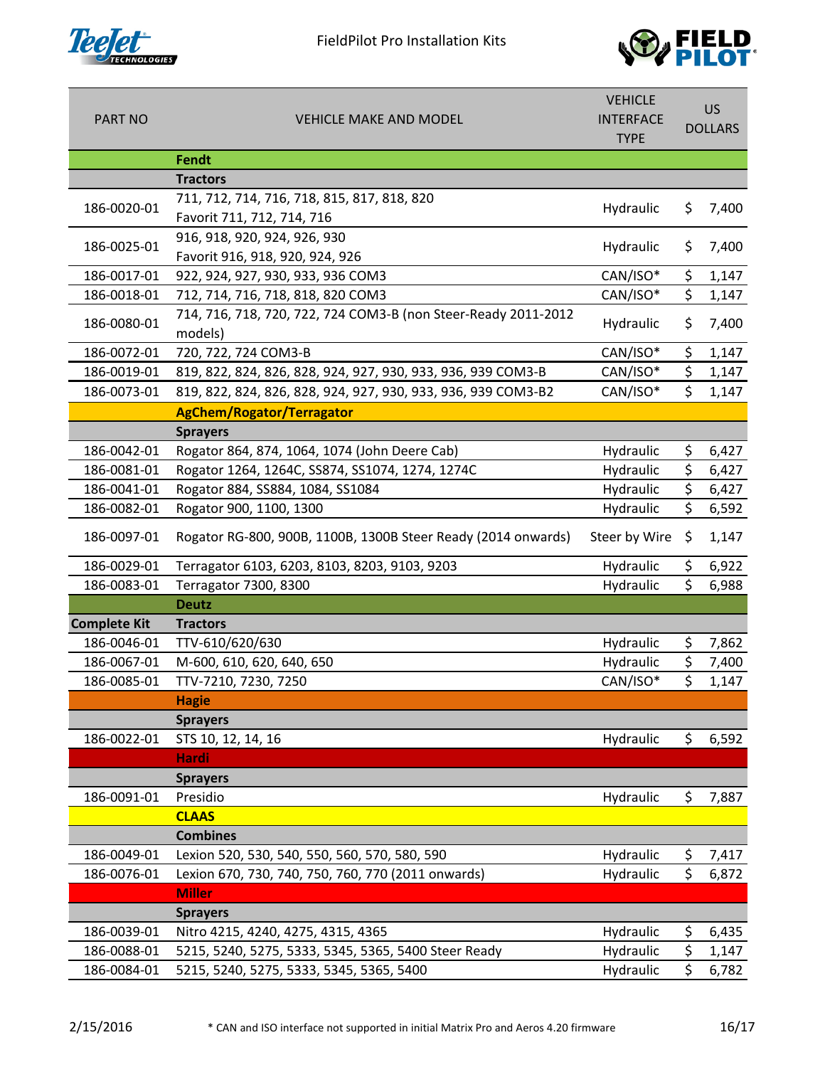



| <b>PART NO</b>      | <b>VEHICLE MAKE AND MODEL</b>                                             | <b>VEHICLE</b><br><b>INTERFACE</b><br><b>TYPE</b> | <b>US</b><br><b>DOLLARS</b> |       |
|---------------------|---------------------------------------------------------------------------|---------------------------------------------------|-----------------------------|-------|
|                     | Fendt                                                                     |                                                   |                             |       |
|                     | <b>Tractors</b>                                                           |                                                   |                             |       |
| 186-0020-01         | 711, 712, 714, 716, 718, 815, 817, 818, 820<br>Favorit 711, 712, 714, 716 | Hydraulic                                         | \$                          | 7,400 |
| 186-0025-01         | 916, 918, 920, 924, 926, 930<br>Favorit 916, 918, 920, 924, 926           | Hydraulic                                         | \$                          | 7,400 |
| 186-0017-01         | 922, 924, 927, 930, 933, 936 COM3                                         | CAN/ISO*                                          | \$                          | 1,147 |
| 186-0018-01         | 712, 714, 716, 718, 818, 820 COM3                                         | CAN/ISO*                                          | \$                          | 1,147 |
| 186-0080-01         | 714, 716, 718, 720, 722, 724 COM3-B (non Steer-Ready 2011-2012<br>models) | Hydraulic                                         | \$                          | 7,400 |
| 186-0072-01         | 720, 722, 724 COM3-B                                                      | CAN/ISO*                                          | \$                          | 1,147 |
| 186-0019-01         | 819, 822, 824, 826, 828, 924, 927, 930, 933, 936, 939 COM3-B              | CAN/ISO*                                          | \$                          | 1,147 |
| 186-0073-01         | 819, 822, 824, 826, 828, 924, 927, 930, 933, 936, 939 COM3-B2             | CAN/ISO*                                          | \$                          | 1,147 |
|                     | <b>AgChem/Rogator/Terragator</b>                                          |                                                   |                             |       |
|                     | <b>Sprayers</b>                                                           |                                                   |                             |       |
| 186-0042-01         | Rogator 864, 874, 1064, 1074 (John Deere Cab)                             | Hydraulic                                         | \$                          | 6,427 |
| 186-0081-01         | Rogator 1264, 1264C, SS874, SS1074, 1274, 1274C                           | Hydraulic                                         | \$                          | 6,427 |
| 186-0041-01         | Rogator 884, SS884, 1084, SS1084                                          | Hydraulic                                         | \$                          | 6,427 |
| 186-0082-01         | Rogator 900, 1100, 1300                                                   | Hydraulic                                         | \$                          | 6,592 |
| 186-0097-01         | Rogator RG-800, 900B, 1100B, 1300B Steer Ready (2014 onwards)             | Steer by Wire                                     | \$                          | 1,147 |
| 186-0029-01         | Terragator 6103, 6203, 8103, 8203, 9103, 9203                             | Hydraulic                                         | \$                          | 6,922 |
| 186-0083-01         | Terragator 7300, 8300                                                     | Hydraulic                                         | \$                          | 6,988 |
|                     | <b>Deutz</b>                                                              |                                                   |                             |       |
| <b>Complete Kit</b> | <b>Tractors</b>                                                           |                                                   |                             |       |
| 186-0046-01         | TTV-610/620/630                                                           | Hydraulic                                         | \$                          | 7,862 |
| 186-0067-01         | M-600, 610, 620, 640, 650                                                 | Hydraulic                                         | \$                          | 7,400 |
| 186-0085-01         | TTV-7210, 7230, 7250                                                      | CAN/ISO*                                          | \$                          | 1,147 |
|                     | <b>Hagie</b>                                                              |                                                   |                             |       |
|                     | <b>Sprayers</b>                                                           |                                                   |                             |       |
| 186-0022-01         | STS 10, 12, 14, 16                                                        | Hydraulic                                         | \$                          | 6,592 |
|                     | <b>Hardi</b>                                                              |                                                   |                             |       |
|                     | <b>Sprayers</b>                                                           |                                                   |                             |       |
| 186-0091-01         | Presidio                                                                  | Hydraulic                                         | \$                          | 7,887 |
|                     | <b>CLAAS</b>                                                              |                                                   |                             |       |
|                     | <b>Combines</b>                                                           |                                                   |                             |       |
| 186-0049-01         | Lexion 520, 530, 540, 550, 560, 570, 580, 590                             | Hydraulic                                         | \$                          | 7,417 |
| 186-0076-01         | Lexion 670, 730, 740, 750, 760, 770 (2011 onwards)                        | Hydraulic                                         | \$                          | 6,872 |
|                     | <b>Miller</b>                                                             |                                                   |                             |       |
|                     | <b>Sprayers</b>                                                           |                                                   |                             |       |
| 186-0039-01         | Nitro 4215, 4240, 4275, 4315, 4365                                        | Hydraulic                                         | \$                          | 6,435 |
| 186-0088-01         | 5215, 5240, 5275, 5333, 5345, 5365, 5400 Steer Ready                      | Hydraulic                                         | \$                          | 1,147 |
| 186-0084-01         | 5215, 5240, 5275, 5333, 5345, 5365, 5400                                  | Hydraulic                                         | \$                          | 6,782 |